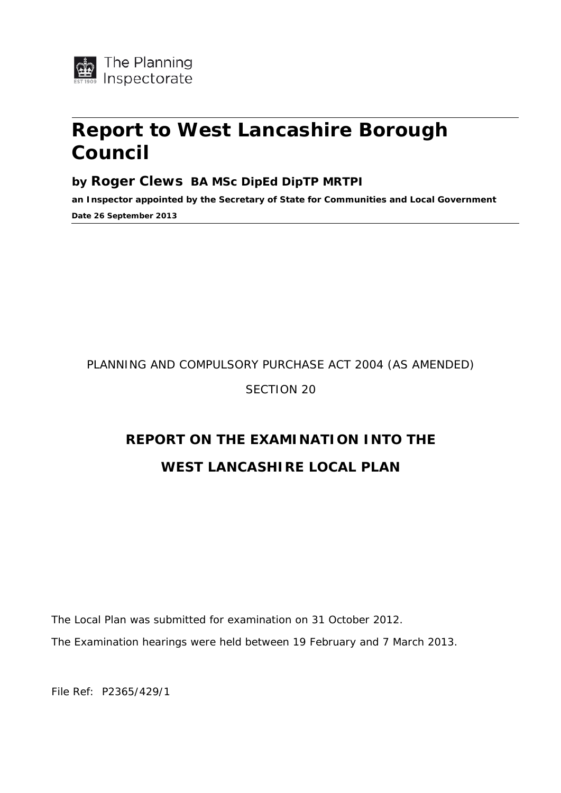

# **Report to West Lancashire Borough Council**

# **by Roger Clews BA MSc DipEd DipTP MRTPI**

**an Inspector appointed by the Secretary of State for Communities and Local Government Date 26 September 2013** 

# PLANNING AND COMPULSORY PURCHASE ACT 2004 (AS AMENDED)

# SECTION 20

# **REPORT ON THE EXAMINATION INTO THE WEST LANCASHIRE LOCAL PLAN**

*The Local Plan was submitted for examination on 31 October 2012. The Examination hearings were held between 19 February and 7 March 2013.* 

<span id="page-0-0"></span>File Ref: P2365/429/1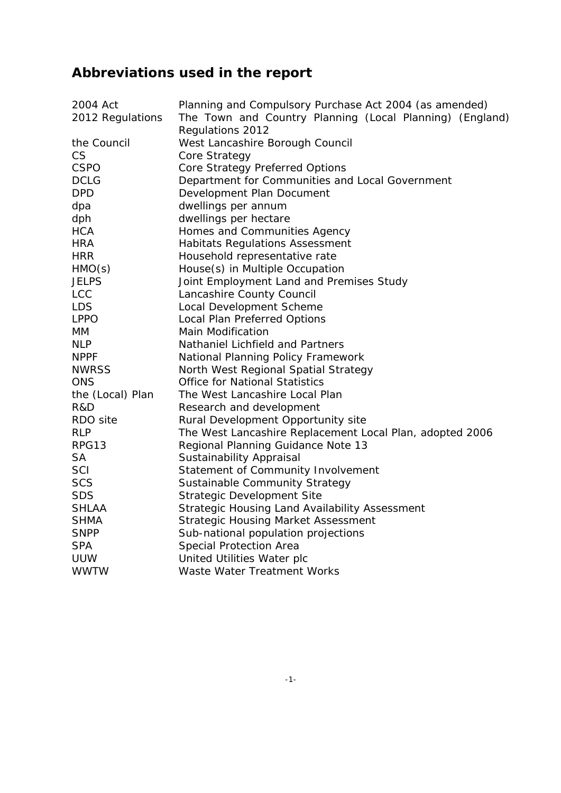# **Abbreviations used in the report**

| 2004 Act         | Planning and Compulsory Purchase Act 2004 (as amended)   |
|------------------|----------------------------------------------------------|
| 2012 Regulations | The Town and Country Planning (Local Planning) (England) |
|                  | Regulations 2012                                         |
| the Council      | West Lancashire Borough Council                          |
| <b>CS</b>        | Core Strategy                                            |
| <b>CSPO</b>      | Core Strategy Preferred Options                          |
| <b>DCLG</b>      | Department for Communities and Local Government          |
| <b>DPD</b>       | Development Plan Document                                |
| dpa              | dwellings per annum                                      |
| dph              | dwellings per hectare                                    |
| <b>HCA</b>       | Homes and Communities Agency                             |
| <b>HRA</b>       | Habitats Regulations Assessment                          |
| <b>HRR</b>       | Household representative rate                            |
| HMO(s)           | House(s) in Multiple Occupation                          |
| <b>JELPS</b>     | Joint Employment Land and Premises Study                 |
| <b>LCC</b>       | Lancashire County Council                                |
| <b>LDS</b>       | Local Development Scheme                                 |
| <b>LPPO</b>      | <b>Local Plan Preferred Options</b>                      |
| MM               | <b>Main Modification</b>                                 |
| <b>NLP</b>       | Nathaniel Lichfield and Partners                         |
| <b>NPPF</b>      | <b>National Planning Policy Framework</b>                |
| <b>NWRSS</b>     | North West Regional Spatial Strategy                     |
| <b>ONS</b>       | <b>Office for National Statistics</b>                    |
| the (Local) Plan | The West Lancashire Local Plan                           |
| R&D              | Research and development                                 |
| RDO site         | Rural Development Opportunity site                       |
| <b>RLP</b>       | The West Lancashire Replacement Local Plan, adopted 2006 |
| RPG13            | Regional Planning Guidance Note 13                       |
| <b>SA</b>        | Sustainability Appraisal                                 |
| SCI              | Statement of Community Involvement                       |
| <b>SCS</b>       | <b>Sustainable Community Strategy</b>                    |
| <b>SDS</b>       | <b>Strategic Development Site</b>                        |
| <b>SHLAA</b>     | Strategic Housing Land Availability Assessment           |
| <b>SHMA</b>      | <b>Strategic Housing Market Assessment</b>               |
| <b>SNPP</b>      | Sub-national population projections                      |
| <b>SPA</b>       | <b>Special Protection Area</b>                           |
| <b>UUW</b>       | United Utilities Water plc                               |
| <b>WWTW</b>      | <b>Waste Water Treatment Works</b>                       |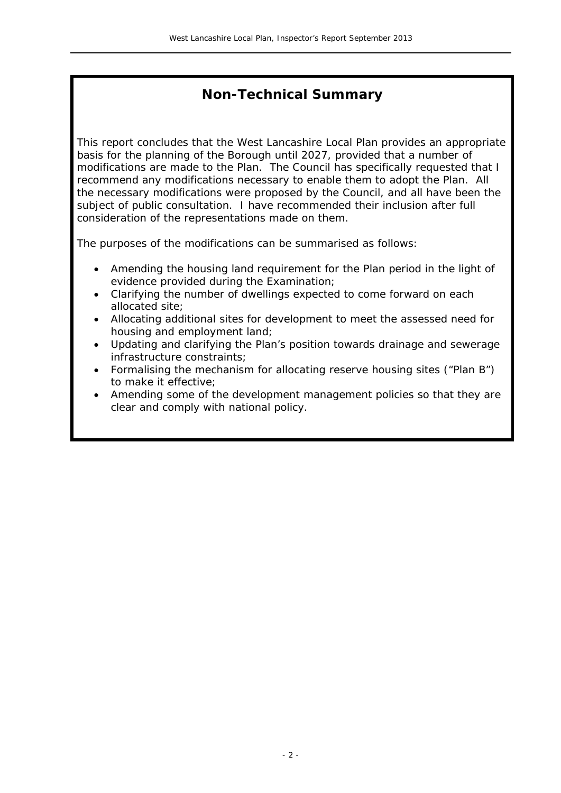# **Non-Technical Summary**

This report concludes that the West Lancashire Local Plan provides an appropriate basis for the planning of the Borough until 2027, provided that a number of modifications are made to the Plan. The Council has specifically requested that I recommend any modifications necessary to enable them to adopt the Plan. All the necessary modifications were proposed by the Council, and all have been the subject of public consultation. I have recommended their inclusion after full consideration of the representations made on them.

The purposes of the modifications can be summarised as follows:

- Amending the housing land requirement for the Plan period in the light of evidence provided during the Examination;
- Clarifying the number of dwellings expected to come forward on each allocated site;
- Allocating additional sites for development to meet the assessed need for housing and employment land;
- Updating and clarifying the Plan's position towards drainage and sewerage infrastructure constraints;
- Formalising the mechanism for allocating reserve housing sites ("Plan B") to make it effective;
- Amending some of the development management policies so that they are clear and comply with national policy.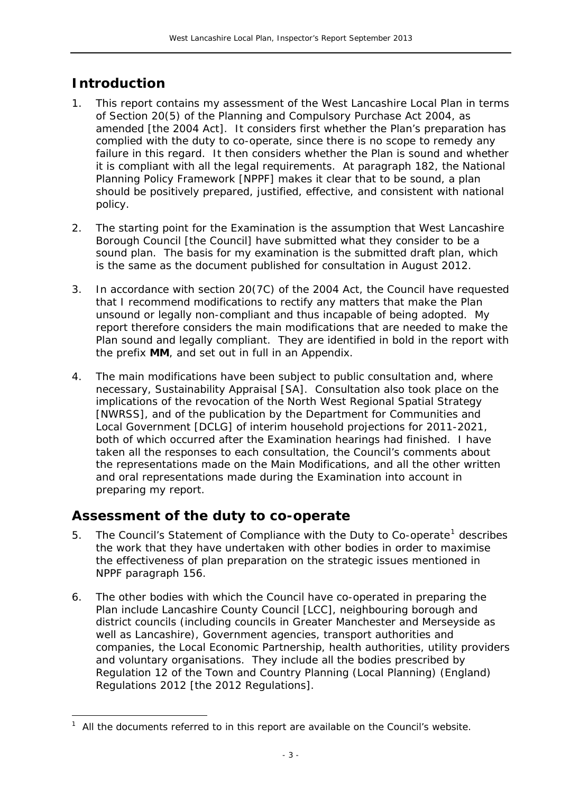# **Introduction**

<span id="page-3-0"></span> $\overline{a}$ 

- 1. This report contains my assessment of the West Lancashire Local Plan in terms of Section 20(5) of the *Planning and Compulsory Purchase Act 2004*, as amended [the 2004 Act]. It considers first whether the Plan's preparation has complied with the duty to co-operate, since there is no scope to remedy any failure in this regard. It then considers whether the Plan is sound and whether it is compliant with all the legal requirements. At paragraph 182, the *National Planning Policy Framework* [NPPF] makes it clear that to be sound, a plan should be positively prepared, justified, effective, and consistent with national policy.
- 2. The starting point for the Examination is the assumption that West Lancashire Borough Council [the Council] have submitted what they consider to be a sound plan. The basis for my examination is the submitted draft plan, which is the same as the document published for consultation in August 2012.
- 3. In accordance with section 20(7C) of the 2004 Act, the Council have requested that I recommend modifications to rectify any matters that make the Plan unsound or legally non-compliant and thus incapable of being adopted. My report therefore considers the main modifications that are needed to make the Plan sound and legally compliant. They are identified in bold in the report with the prefix **MM**, and set out in full in an Appendix.
- 4. The main modifications have been subject to public consultation and, where necessary, Sustainability Appraisal [SA]. Consultation also took place on the implications of the revocation of the *North West Regional Spatial Strategy* [NWRSS], and of the publication by the Department for Communities and Local Government [DCLG] of interim household projections for 2011-2021, both of which occurred after the Examination hearings had finished. I have taken all the responses to each consultation, the Council's comments about the representations made on the Main Modifications, and all the other written and oral representations made during the Examination into account in preparing my report.

# **Assessment of the duty to co-operate**

- 5. The Council's Statement of Compliance with the Duty to Co-operate<sup>[1](#page-0-0)</sup> describes the work that they have undertaken with other bodies in order to maximise the effectiveness of plan preparation on the strategic issues mentioned in NPPF paragraph 156.
- 6. The other bodies with which the Council have co-operated in preparing the Plan include Lancashire County Council [LCC], neighbouring borough and district councils (including councils in Greater Manchester and Merseyside as well as Lancashire), Government agencies, transport authorities and companies, the Local Economic Partnership, health authorities, utility providers and voluntary organisations. They include all the bodies prescribed by Regulation 12 of the *Town and Country Planning (Local Planning) (England) Regulations 2012* [the 2012 Regulations].

<sup>1</sup> All the documents referred to in this report are available on the Council's website.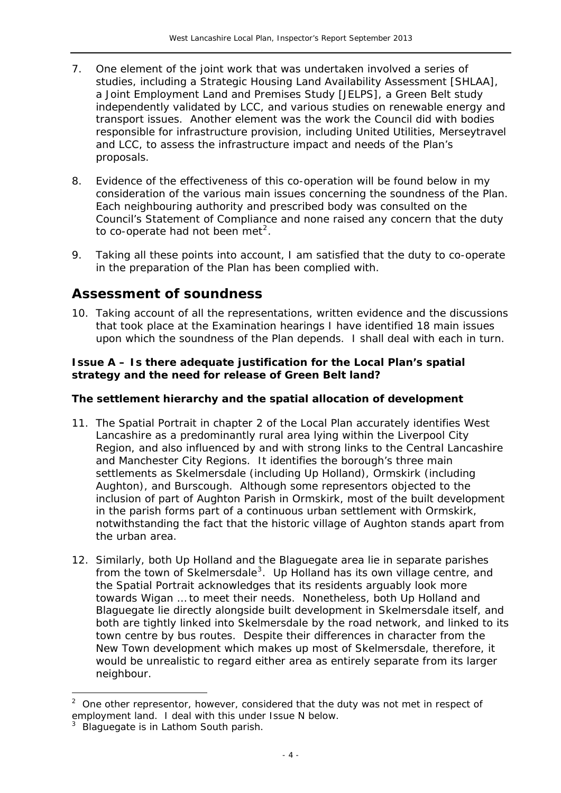- 7. One element of the joint work that was undertaken involved a series of studies, including a *Strategic Housing Land Availability Assessment* [SHLAA], a *Joint Employment Land and Premises Study* [JELPS], a Green Belt study independently validated by LCC, and various studies on renewable energy and transport issues. Another element was the work the Council did with bodies responsible for infrastructure provision, including United Utilities, Merseytravel and LCC, to assess the infrastructure impact and needs of the Plan's proposals.
- 8. Evidence of the effectiveness of this co-operation will be found below in my consideration of the various main issues concerning the soundness of the Plan. Each neighbouring authority and prescribed body was consulted on the Council's *Statement of Compliance* and none raised any concern that the duty to co-operate had not been met<sup>[2](#page-3-0)</sup>.
- 9. Taking all these points into account, I am satisfied that the duty to co-operate in the preparation of the Plan has been complied with.

# **Assessment of soundness**

10. Taking account of all the representations, written evidence and the discussions that took place at the Examination hearings I have identified 18 main issues upon which the soundness of the Plan depends. I shall deal with each in turn.

# **Issue A – Is there adequate justification for the Local Plan's spatial strategy and the need for release of Green Belt land?**

# *The settlement hierarchy and the spatial allocation of development*

- 11. The Spatial Portrait in chapter 2 of the Local Plan accurately identifies West Lancashire as a predominantly rural area lying within the Liverpool City Region, and also influenced by and with strong links to the Central Lancashire and Manchester City Regions. It identifies the borough's three main settlements as Skelmersdale (including Up Holland), Ormskirk (including Aughton), and Burscough. Although some representors objected to the inclusion of part of Aughton Parish in Ormskirk, most of the built development in the parish forms part of a continuous urban settlement with Ormskirk, notwithstanding the fact that the historic village of Aughton stands apart from the urban area.
- 12. Similarly, both Up Holland and the Blaguegate area lie in separate parishes from the town of Skelmersdale<sup>[3](#page-4-0)</sup>. Up Holland has its own village centre, and the Spatial Portrait acknowledges that its residents *arguably look more towards Wigan … to meet their needs.* Nonetheless, both Up Holland and Blaguegate lie directly alongside built development in Skelmersdale itself, and both are tightly linked into Skelmersdale by the road network, and linked to its town centre by bus routes. Despite their differences in character from the New Town development which makes up most of Skelmersdale, therefore, it would be unrealistic to regard either area as entirely separate from its larger neighbour.

<span id="page-4-1"></span>-

<sup>2</sup> One other representor, however, considered that the duty was not met in respect of employment land. I deal with this under Issue N below.

<span id="page-4-0"></span><sup>3</sup> Blaguegate is in Lathom South parish.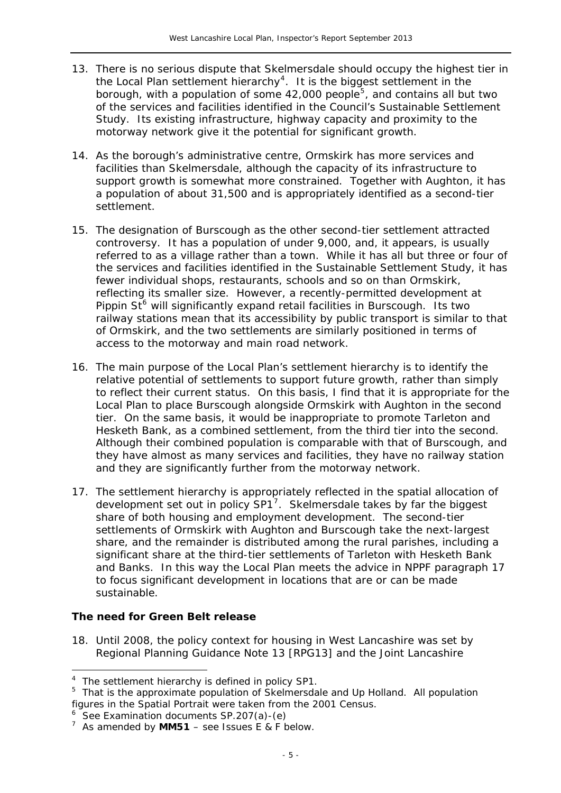- 13. There is no serious dispute that Skelmersdale should occupy the highest tier in the Local Plan settlement hierarchy<sup>[4](#page-4-1)</sup>. It is the biggest settlement in the borough, with a population of some  $42,000$  people<sup>[5](#page-5-0)</sup>, and contains all but two of the services and facilities identified in the Council's *Sustainable Settlement Study*. Its existing infrastructure, highway capacity and proximity to the motorway network give it the potential for significant growth.
- 14. As the borough's administrative centre, Ormskirk has more services and facilities than Skelmersdale, although the capacity of its infrastructure to support growth is somewhat more constrained. Together with Aughton, it has a population of about 31,500 and is appropriately identified as a second-tier settlement.
- railway stations mean that its accessibility by public transport is similar to that access to the motorway and main road network. 15. The designation of Burscough as the other second-tier settlement attracted controversy. It has a population of under 9,000, and, it appears, is usually referred to as a village rather than a town. While it has all but three or four of the services and facilities identified in the *Sustainable Settlement Study*, it has fewer individual shops, restaurants, schools and so on than Ormskirk, reflecting its smaller size. However, a recently-permitted development at Pippin  $St^6$  $St^6$  will significantly expand retail facilities in Burscough. Its two of Ormskirk, and the two settlements are similarly positioned in terms of
- 16. The main purpose of the Local Plan's settlement hierarchy is to identify the relative potential of settlements to support future growth, rather than simply to reflect their current status. On this basis, I find that it is appropriate for the Local Plan to place Burscough alongside Ormskirk with Aughton in the second tier. On the same basis, it would be inappropriate to promote Tarleton and Hesketh Bank, as a combined settlement, from the third tier into the second. Although their combined population is comparable with that of Burscough, and they have almost as many services and facilities, they have no railway station and they are significantly further from the motorway network.
- 17. The settlement hierarchy is appropriately reflected in the spatial allocation of development set out in policy  $SP1^7$  $SP1^7$ . Skelmersdale takes by far the biggest share of both housing and employment development. The second-tier settlements of Ormskirk with Aughton and Burscough take the next-largest share, and the remainder is distributed among the rural parishes, including a significant share at the third-tier settlements of Tarleton with Hesketh Bank and Banks. In this way the Local Plan meets the advice in NPPF paragraph 17 to focus significant development in locations that are or can be made sustainable.

# *The need for Green Belt release*

j

18. Until 2008, the policy context for housing in West Lancashire was set by *Regional Planning Guidance Note 13* [RPG13] and the *Joint Lancashire* 

<sup>&</sup>lt;sup>4</sup> The settlement hierarchy is defined in policy SP1.

<span id="page-5-0"></span><sup>&</sup>lt;sup>5</sup> That is the approximate population of Skelmersdale and Up Holland. All population figures in the Spatial Portrait were taken from the 2001 Census.

<span id="page-5-1"></span> $6$  See Examination documents SP.207(a)-(e)

<span id="page-5-2"></span> $^7$  As amended by **MM51** – see Issues E & F below.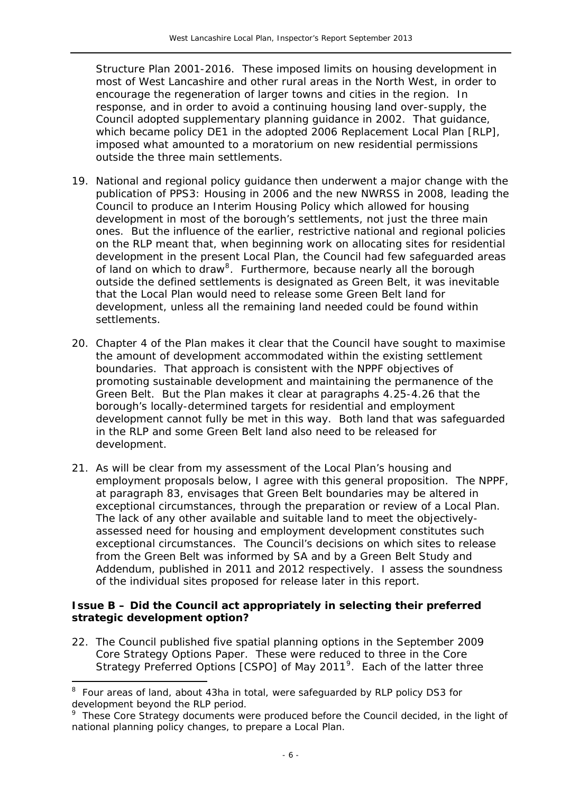*Structure Plan 2001-2016*. These imposed limits on housing development in most of West Lancashire and other rural areas in the North West, in order to encourage the regeneration of larger towns and cities in the region. In response, and in order to avoid a continuing housing land over-supply, the Council adopted supplementary planning guidance in 2002. That guidance, which became policy DE1 in the adopted 2006 Replacement Local Plan [RLP], imposed what amounted to a moratorium on new residential permissions outside the three main settlements.

- 19. National and regional policy guidance then underwent a major change with the publication of PPS3: *Housing* in 2006 and the new NWRSS in 2008, leading the Council to produce an Interim Housing Policy which allowed for housing development in most of the borough's settlements, not just the three main ones. But the influence of the earlier, restrictive national and regional policies on the RLP meant that, when beginning work on allocating sites for residential development in the present Local Plan, the Council had few safeguarded areas of land on which to draw<sup>[8](#page-5-0)</sup>. Furthermore, because nearly all the borough outside the defined settlements is designated as Green Belt, it was inevitable that the Local Plan would need to release some Green Belt land for development, unless all the remaining land needed could be found within settlements.
- 20. Chapter 4 of the Plan makes it clear that the Council have sought to maximise the amount of development accommodated within the existing settlement boundaries. That approach is consistent with the NPPF objectives of promoting sustainable development and maintaining the permanence of the Green Belt. But the Plan makes it clear at paragraphs 4.25-4.26 that the borough's locally-determined targets for residential and employment development cannot fully be met in this way. Both land that was safeguarded in the RLP and some Green Belt land also need to be released for development.
- 21. As will be clear from my assessment of the Local Plan's housing and employment proposals below, I agree with this general proposition. The NPPF, at paragraph 83, envisages that Green Belt boundaries may be altered in exceptional circumstances, through the preparation or review of a Local Plan. The lack of any other available and suitable land to meet the objectivelyassessed need for housing and employment development constitutes such exceptional circumstances. The Council's decisions on which sites to release from the Green Belt was informed by SA and by a *Green Belt Study* and *Addendum*, published in 2011 and 2012 respectively. I assess the soundness of the individual sites proposed for release later in this report.

# **Issue B – Did the Council act appropriately in selecting their preferred strategic development option?**

22. The Council published five spatial planning options in the September 2009 *Core Strategy Options Paper*. These were reduced to three in the *Core Strategy Preferred Options* [CSPO] of May 2011[9](#page-6-0). Each of the latter three

<span id="page-6-1"></span><sup>&</sup>lt;sup>8</sup> Four areas of land, about 43ha in total, were safeguarded by RLP policy DS3 for development beyond the RLP period.

<span id="page-6-0"></span><sup>&</sup>lt;sup>9</sup> These Core Strategy documents were produced before the Council decided, in the light of national planning policy changes, to prepare a Local Plan.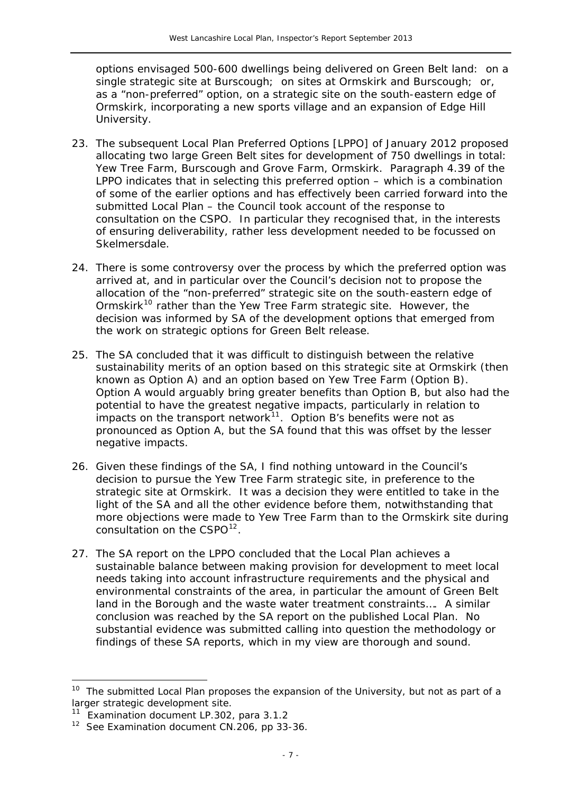options envisaged 500-600 dwellings being delivered on Green Belt land: on a single strategic site at Burscough; on sites at Ormskirk and Burscough; or, as a "non-preferred" option, on a strategic site on the south-eastern edge of Ormskirk, incorporating a new sports village and an expansion of Edge Hill University.

- 23. The subsequent *Local Plan Preferred Options* [LPPO] of January 2012 proposed allocating two large Green Belt sites for development of 750 dwellings in total: Yew Tree Farm, Burscough and Grove Farm, Ormskirk. Paragraph 4.39 of the LPPO indicates that in selecting this preferred option – which is a combination of some of the earlier options and has effectively been carried forward into the submitted Local Plan – the Council took account of the response to consultation on the CSPO. In particular they recognised that, in the interests of ensuring deliverability, rather less development needed to be focussed on Skelmersdale.
- 24. There is some controversy over the process by which the preferred option was arrived at, and in particular over the Council's decision not to propose the allocation of the "non-preferred" strategic site on the south-eastern edge of Ormskirk<sup>[10](#page-6-1)</sup> rather than the Yew Tree Farm strategic site. However, the decision was informed by SA of the development options that emerged from the work on strategic options for Green Belt release.
- 25. The SA concluded that it was difficult to distinguish between the relative sustainability merits of an option based on this strategic site at Ormskirk (then known as Option A) and an option based on Yew Tree Farm (Option B). Option A would arguably bring greater benefits than Option B, but also had the potential to have the greatest negative impacts, particularly in relation to impacts on the transport network $11$ . Option B's benefits were not as pronounced as Option A, but the SA found that this was offset by the lesser negative impacts.
- 26. Given these findings of the SA, I find nothing untoward in the Council's decision to pursue the Yew Tree Farm strategic site, in preference to the strategic site at Ormskirk. It was a decision they were entitled to take in the light of the SA and all the other evidence before them, notwithstanding that more objections were made to Yew Tree Farm than to the Ormskirk site during consultation on the CSPO<sup>[12](#page-7-1)</sup>.
- 27. The SA report on the LPPO concluded that *the Local Plan achieves a sustainable balance between making provision for development to meet local needs taking into account infrastructure requirements and the physical and environmental constraints of the area, in particular the amount of Green Belt land in the Borough and the waste water treatment constraints…*. A similar conclusion was reached by the SA report on the published Local Plan. No substantial evidence was submitted calling into question the methodology or findings of these SA reports, which in my view are thorough and sound.

<sup>&</sup>lt;sup>10</sup> The submitted Local Plan proposes the expansion of the University, but not as part of a larger strategic development site.

<span id="page-7-2"></span><span id="page-7-0"></span><sup>&</sup>lt;sup>11</sup> Examination document LP.302, para 3.1.2

<span id="page-7-1"></span><sup>&</sup>lt;sup>12</sup> See Examination document CN.206, pp 33-36.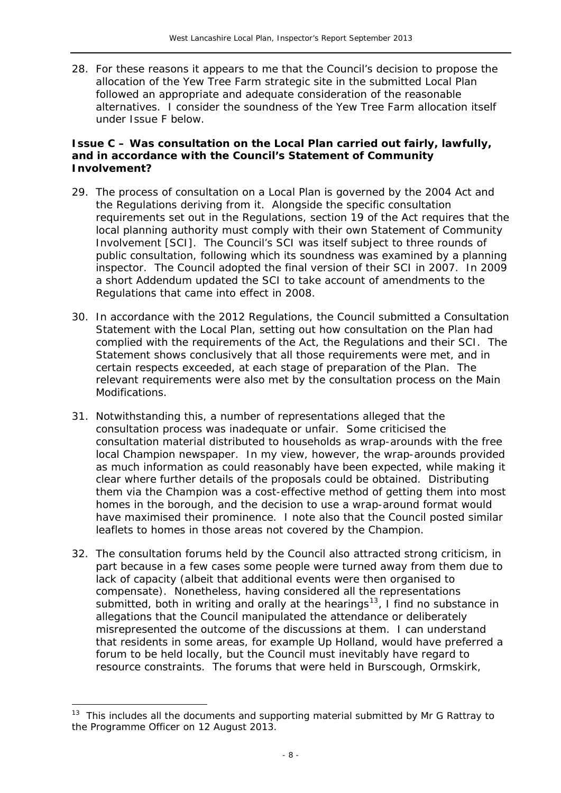28. For these reasons it appears to me that the Council's decision to propose the allocation of the Yew Tree Farm strategic site in the submitted Local Plan followed an appropriate and adequate consideration of the reasonable alternatives. I consider the soundness of the Yew Tree Farm allocation itself under Issue F below.

#### **Issue C – Was consultation on the Local Plan carried out fairly, lawfully, and in accordance with the Council's** *Statement of Community Involvement***?**

- 29. The process of consultation on a Local Plan is governed by the 2004 Act and the Regulations deriving from it. Alongside the specific consultation requirements set out in the Regulations, section 19 of the Act requires that the local planning authority must comply with their own Statement of Community Involvement [SCI]. The Council's SCI was itself subject to three rounds of public consultation, following which its soundness was examined by a planning inspector. The Council adopted the final version of their SCI in 2007. In 2009 a short Addendum updated the SCI to take account of amendments to the Regulations that came into effect in 2008.
- 30. In accordance with the 2012 Regulations, the Council submitted a *Consultation Statement* with the Local Plan, setting out how consultation on the Plan had complied with the requirements of the Act, the Regulations and their SCI. The Statement shows conclusively that all those requirements were met, and in certain respects exceeded, at each stage of preparation of the Plan. The relevant requirements were also met by the consultation process on the Main Modifications.
- 31. Notwithstanding this, a number of representations alleged that the consultation process was inadequate or unfair. Some criticised the consultation material distributed to households as wrap-arounds with the free local *Champion* newspaper. In my view, however, the wrap-arounds provided as much information as could reasonably have been expected, while making it clear where further details of the proposals could be obtained. Distributing them via the *Champion* was a cost-effective method of getting them into most homes in the borough, and the decision to use a wrap-around format would have maximised their prominence. I note also that the Council posted similar leaflets to homes in those areas not covered by the *Champion.*
- 32. The consultation forums held by the Council also attracted strong criticism, in part because in a few cases some people were turned away from them due to lack of capacity (albeit that additional events were then organised to compensate). Nonetheless, having considered all the representations submitted, both in writing and orally at the hearings<sup>[13](#page-7-2)</sup>, I find no substance in allegations that the Council manipulated the attendance or deliberately misrepresented the outcome of the discussions at them. I can understand that residents in some areas, for example Up Holland, would have preferred a forum to be held locally, but the Council must inevitably have regard to resource constraints. The forums that were held in Burscough, Ormskirk,

<span id="page-8-0"></span> $13$  This includes all the documents and supporting material submitted by Mr G Rattray to the Programme Officer on 12 August 2013.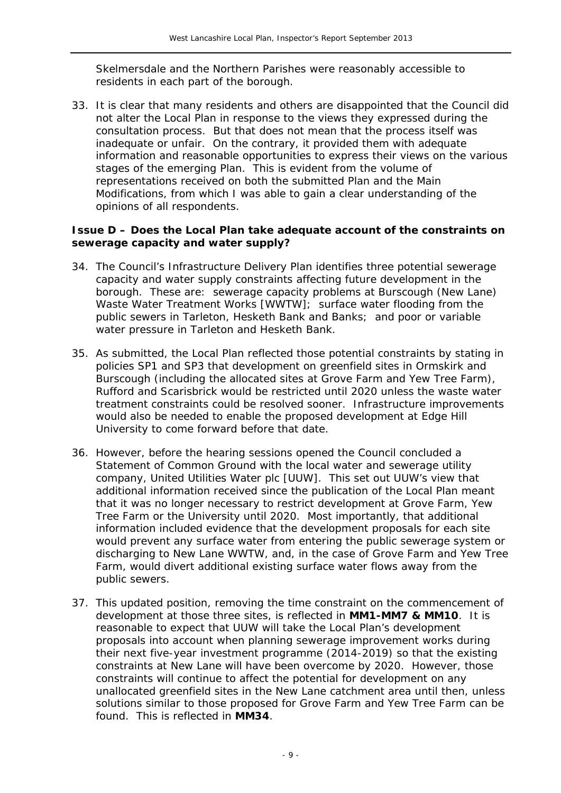Skelmersdale and the Northern Parishes were reasonably accessible to residents in each part of the borough.

33. It is clear that many residents and others are disappointed that the Council did not alter the Local Plan in response to the views they expressed during the consultation process. But that does not mean that the process itself was inadequate or unfair. On the contrary, it provided them with adequate information and reasonable opportunities to express their views on the various stages of the emerging Plan. This is evident from the volume of representations received on both the submitted Plan and the Main Modifications, from which I was able to gain a clear understanding of the opinions of all respondents.

#### **Issue D – Does the Local Plan take adequate account of the constraints on sewerage capacity and water supply?**

- 34. The Council's *Infrastructure Delivery Plan* identifies three potential sewerage capacity and water supply constraints affecting future development in the borough. These are: sewerage capacity problems at Burscough (New Lane) Waste Water Treatment Works [WWTW]; surface water flooding from the public sewers in Tarleton, Hesketh Bank and Banks; and poor or variable water pressure in Tarleton and Hesketh Bank.
- 35. As submitted, the Local Plan reflected those potential constraints by stating in policies SP1 and SP3 that development on greenfield sites in Ormskirk and Burscough (including the allocated sites at Grove Farm and Yew Tree Farm), Rufford and Scarisbrick would be restricted until 2020 unless the waste water treatment constraints could be resolved sooner. Infrastructure improvements would also be needed to enable the proposed development at Edge Hill University to come forward before that date.
- 36. However, before the hearing sessions opened the Council concluded a *Statement of Common Ground* with the local water and sewerage utility company, United Utilities Water plc [UUW]. This set out UUW's view that additional information received since the publication of the Local Plan meant that it was no longer necessary to restrict development at Grove Farm, Yew Tree Farm or the University until 2020. Most importantly, that additional information included evidence that the development proposals for each site would prevent any surface water from entering the public sewerage system or discharging to New Lane WWTW, and, in the case of Grove Farm and Yew Tree Farm, would divert additional existing surface water flows away from the public sewers.
- 37. This updated position, removing the time constraint on the commencement of development at those three sites, is reflected in **MM1-MM7 & MM10**. It is reasonable to expect that UUW will take the Local Plan's development proposals into account when planning sewerage improvement works during their next five-year investment programme (2014-2019) so that the existing constraints at New Lane will have been overcome by 2020. However, those constraints will continue to affect the potential for development on any unallocated greenfield sites in the New Lane catchment area until then, unless solutions similar to those proposed for Grove Farm and Yew Tree Farm can be found. This is reflected in **MM34**.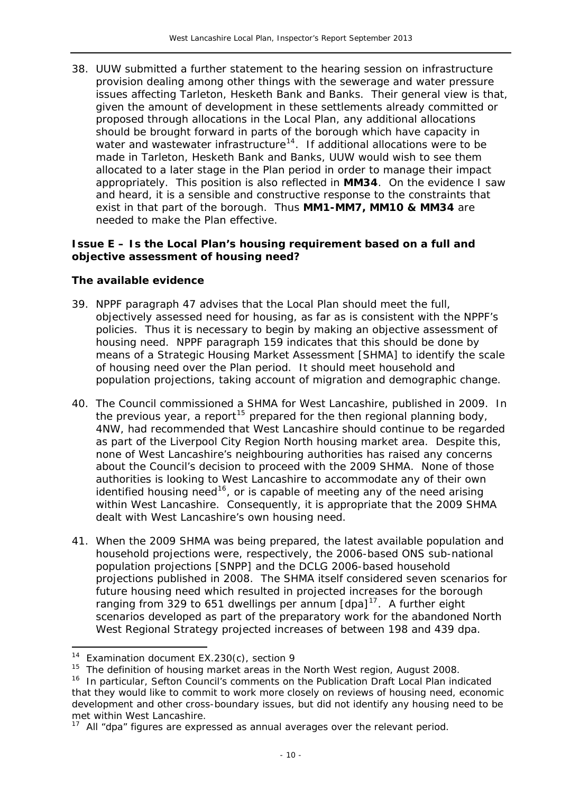38. UUW submitted a further statement to the hearing session on infrastructure provision dealing among other things with the sewerage and water pressure issues affecting Tarleton, Hesketh Bank and Banks. Their general view is that, given the amount of development in these settlements already committed or proposed through allocations in the Local Plan, *any additional allocations should be brought forward in parts of the borough which have capacity in*  water and wastewater infrastructure<sup>[14](#page-8-0)</sup>. If additional allocations were to be made in Tarleton, Hesketh Bank and Banks, UUW would wish to see them allocated to a later stage in the Plan period in order to manage their impact appropriately. This position is also reflected in **MM34**. On the evidence I saw and heard, it is a sensible and constructive response to the constraints that exist in that part of the borough. Thus **MM1-MM7, MM10 & MM34** are needed to make the Plan effective.

### **Issue E – Is the Local Plan's housing requirement based on a full and objective assessment of housing need?**

# *The available evidence*

- 39. NPPF paragraph 47 advises that the Local Plan should meet the full, objectively assessed need for housing, as far as is consistent with the NPPF's policies. Thus it is necessary to begin by making an objective assessment of housing need. NPPF paragraph 159 indicates that this should be done by means of a Strategic Housing Market Assessment [SHMA] to identify the scale of housing need over the Plan period. It should meet household and population projections, taking account of migration and demographic change.
- 40. The Council commissioned a SHMA for West Lancashire, published in 2009. In the previous year, a report<sup>[15](#page-10-0)</sup> prepared for the then regional planning body, 4NW, had recommended that West Lancashire should continue to be regarded as part of the Liverpool City Region North housing market area. Despite this, none of West Lancashire's neighbouring authorities has raised any concerns about the Council's decision to proceed with the 2009 SHMA. None of those authorities is looking to West Lancashire to accommodate any of their own identified housing need<sup>[16](#page-10-1)</sup>, or is capable of meeting any of the need arising within West Lancashire. Consequently, it is appropriate that the 2009 SHMA dealt with West Lancashire's own housing need.
- 41. When the 2009 SHMA was being prepared, the latest available population and household projections were, respectively, the 2006-based ONS sub-national population projections [SNPP] and the DCLG 2006-based household projections published in 2008. The SHMA itself considered seven scenarios for future housing need which resulted in projected increases for the borough ranging from 329 to 651 dwellings per annum [dpa]<sup>[17](#page-10-2)</sup>. A further eight scenarios developed as part of the preparatory work for the abandoned *North West Regional Strategy* projected increases of between 198 and 439 dpa.

 $14$  Examination document EX.230(c), section 9

<span id="page-10-0"></span><sup>15</sup> *The definition of housing market areas in the North West region*, August 2008.

<span id="page-10-1"></span><sup>&</sup>lt;sup>16</sup> In particular, Sefton Council's comments on the Publication Draft Local Plan indicated that they *would like to commit to work more closely on reviews of housing need, economic development and other cross-boundary issues*, but did not identify any housing need to be met within West Lancashire.

<span id="page-10-3"></span><span id="page-10-2"></span> $17$  All "dpa" figures are expressed as annual averages over the relevant period.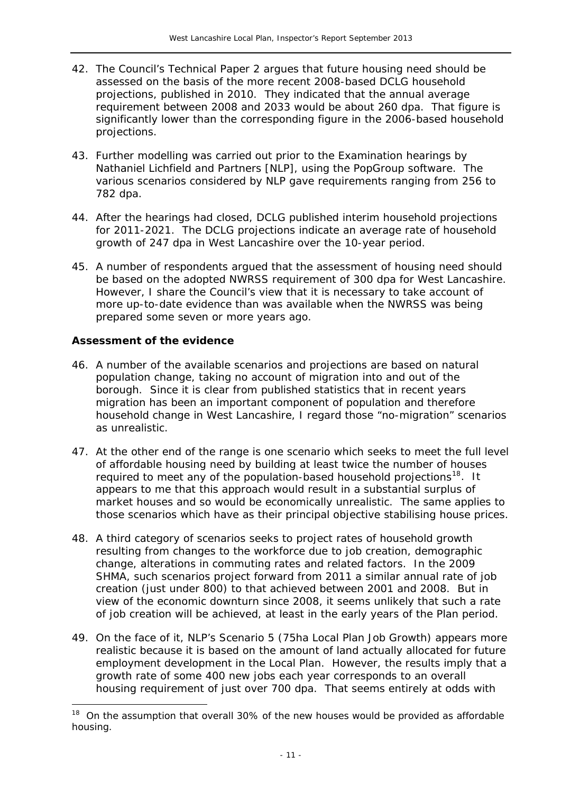- 42. The Council's *Technical Paper 2* argues that future housing need should be assessed on the basis of the more recent 2008-based DCLG household projections, published in 2010. They indicated that the annual average requirement between 2008 and 2033 would be about 260 dpa. That figure is significantly lower than the corresponding figure in the 2006-based household projections.
- 43. Further modelling was carried out prior to the Examination hearings by Nathaniel Lichfield and Partners [NLP], using the PopGroup software. The various scenarios considered by NLP gave requirements ranging from 256 to 782 dpa.
- 44. After the hearings had closed, DCLG published interim household projections for 2011-2021. The DCLG projections indicate an average rate of household growth of 247 dpa in West Lancashire over the 10-year period.
- 45. A number of respondents argued that the assessment of housing need should be based on the adopted NWRSS requirement of 300 dpa for West Lancashire. However, I share the Council's view that it is necessary to take account of more up-to-date evidence than was available when the NWRSS was being prepared some seven or more years ago.

# *Assessment of the evidence*

- 46. A number of the available scenarios and projections are based on natural population change, taking no account of migration into and out of the borough. Since it is clear from published statistics that in recent years migration has been an important component of population and therefore household change in West Lancashire, I regard those "no-migration" scenarios as unrealistic.
- 47. At the other end of the range is one scenario which seeks to meet the full level of affordable housing need by building at least twice the number of houses required to meet any of the population-based household projections<sup>[18](#page-10-3)</sup>. It appears to me that this approach would result in a substantial surplus of market houses and so would be economically unrealistic. The same applies to those scenarios which have as their principal objective stabilising house prices.
- 48. A third category of scenarios seeks to project rates of household growth resulting from changes to the workforce due to job creation, demographic change, alterations in commuting rates and related factors. In the 2009 SHMA, such scenarios project forward from 2011 a similar annual rate of job creation (just under 800) to that achieved between 2001 and 2008. But in view of the economic downturn since 2008, it seems unlikely that such a rate of job creation will be achieved, at least in the early years of the Plan period.
- 49. On the face of it, NLP's Scenario 5 (*75ha Local Plan Job Growth*) appears more realistic because it is based on the amount of land actually allocated for future employment development in the Local Plan. However, the results imply that a growth rate of some 400 new jobs each year corresponds to an overall housing requirement of just over 700 dpa. That seems entirely at odds with

 $18$  On the assumption that overall 30% of the new houses would be provided as affordable housing.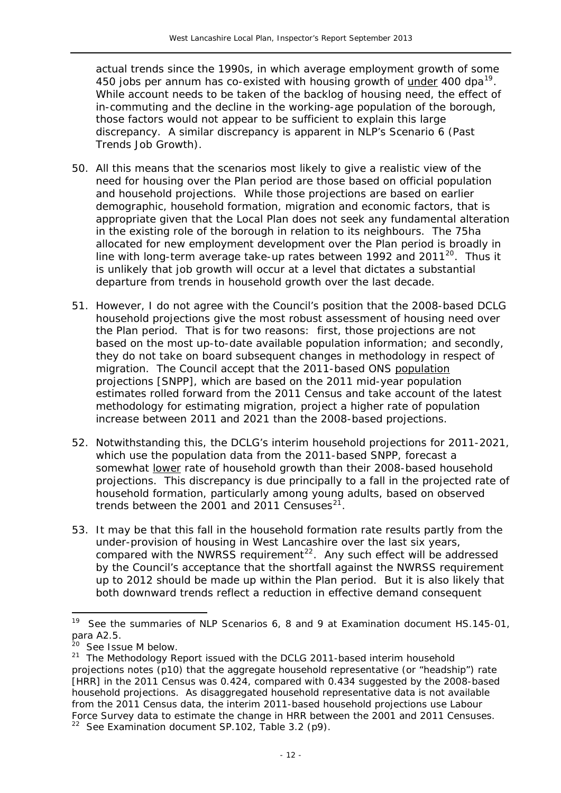actual trends since the 1990s, in which average employment growth of some 450 jobs per annum has co-existed with housing growth of under 400 dpa<sup>19</sup>. While account needs to be taken of the backlog of housing need, the effect of in-commuting and the decline in the working-age population of the borough, those factors would not appear to be sufficient to explain this large discrepancy. A similar discrepancy is apparent in NLP's Scenario 6 (*Past Trends Job Growth*).

- 50. All this means that the scenarios most likely to give a realistic view of the need for housing over the Plan period are those based on official population and household projections. While those projections are based on earlier demographic, household formation, migration and economic factors, that is appropriate given that the Local Plan does not seek any fundamental alteration in the existing role of the borough in relation to its neighbours. The 75ha allocated for new employment development over the Plan period is broadly in line with long-term average take-up rates between 1992 and [20](#page-12-0)11<sup>20</sup>. Thus it is unlikely that job growth will occur at a level that dictates a substantial departure from trends in household growth over the last decade.
- 51. However, I do not agree with the Council's position that the 2008-based DCLG household projections give the most robust assessment of housing need over the Plan period. That is for two reasons: first, those projections are not based on the most up-to-date available population information; and secondly, they do not take on board subsequent changes in methodology in respect of migration. The Council accept that the 2011-based ONS population projections [SNPP], which are based on the 2011 mid-year population estimates rolled forward from the 2011 Census and take account of the latest methodology for estimating migration, project a higher rate of population increase between 2011 and 2021 than the 2008-based projections.
- 52. Notwithstanding this, the DCLG's interim household projections for 2011-2021, which use the population data from the 2011-based SNPP, forecast a somewhat lower rate of household growth than their 2008-based household projections. This discrepancy is due principally to a fall in the projected rate of household formation, particularly among young adults, based on observed trends between the 2001 and 2011 Censuses $2^7$ .
- 53. It may be that this fall in the household formation rate results partly from the under-provision of housing in West Lancashire over the last six years, compared with the NWRSS requirement<sup>[22](#page-12-2)</sup>. Any such effect will be addressed by the Council's acceptance that the shortfall against the NWRSS requirement up to 2012 should be made up within the Plan period. But it is also likely that both downward trends reflect a reduction in effective demand consequent

-

<sup>&</sup>lt;sup>19</sup> See the summaries of NLP Scenarios 6, 8 and 9 at Examination document HS.145-01, para A2.5.

 $0$  See Issue M below.

<span id="page-12-2"></span><span id="page-12-1"></span><span id="page-12-0"></span> $21$  The Methodology Report issued with the DCLG 2011-based interim household projections notes (p10) that the aggregate household representative (or "headship") rate [HRR] in the 2011 Census was 0.424, compared with 0.434 suggested by the 2008-based household projections. As disaggregated household representative data is not available from the 2011 Census data, the interim 2011-based household projections use Labour Force Survey data to estimate the change in HRR between the 2001 and 2011 Censuses.  $22$  See Examination document SP.102, Table 3.2 (p9).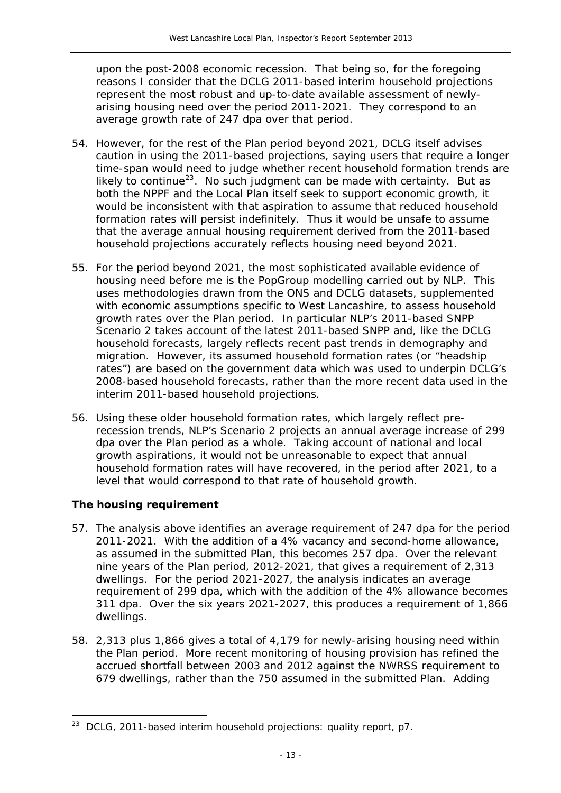upon the post-2008 economic recession. That being so, for the foregoing reasons I consider that the DCLG 2011-based interim household projections represent the most robust and up-to-date available assessment of newlyarising housing need over the period 2011-2021. They correspond to an average growth rate of 247 dpa over that period.

- 54. However, for the rest of the Plan period beyond 2021, DCLG itself advises caution in using the 2011-based projections, saying *users that require a longer time-span would need to judge whether recent household formation trends are likely to continue*[23](#page-12-2). No such judgment can be made with certainty. But as both the NPPF and the Local Plan itself seek to support economic growth, it would be inconsistent with that aspiration to assume that reduced household formation rates will persist indefinitely. Thus it would be unsafe to assume that the average annual housing requirement derived from the 2011-based household projections accurately reflects housing need beyond 2021.
- 55. For the period beyond 2021, the most sophisticated available evidence of housing need before me is the PopGroup modelling carried out by NLP. This uses methodologies drawn from the ONS and DCLG datasets, supplemented with economic assumptions specific to West Lancashire, to assess household growth rates over the Plan period. In particular NLP's *2011-based SNPP* Scenario 2 takes account of the latest 2011-based SNPP and, like the DCLG household forecasts, largely reflects recent past trends in demography and migration. However, its assumed household formation rates (or "headship rates") are based on the government data which was used to underpin DCLG's 2008-based household forecasts, rather than the more recent data used in the interim 2011-based household projections.
- 56. Using these older household formation rates, which largely reflect prerecession trends, NLP's Scenario 2 projects an annual average increase of 299 dpa over the Plan period as a whole. Taking account of national and local growth aspirations, it would not be unreasonable to expect that annual household formation rates will have recovered, in the period after 2021, to a level that would correspond to that rate of household growth.

# *The housing requirement*

<span id="page-13-0"></span> $\overline{a}$ 

- 57. The analysis above identifies an average requirement of 247 dpa for the period 2011-2021. With the addition of a 4% vacancy and second-home allowance, as assumed in the submitted Plan, this becomes 257 dpa. Over the relevant nine years of the Plan period, 2012-2021, that gives a requirement of 2,313 dwellings. For the period 2021-2027, the analysis indicates an average requirement of 299 dpa, which with the addition of the 4% allowance becomes 311 dpa. Over the six years 2021-2027, this produces a requirement of 1,866 dwellings.
- 58. 2,313 plus 1,866 gives a total of 4,179 for newly-arising housing need within the Plan period. More recent monitoring of housing provision has refined the accrued shortfall between 2003 and 2012 against the NWRSS requirement to 679 dwellings, rather than the 750 assumed in the submitted Plan. Adding

<sup>23</sup> DCLG, *2011-based interim household projections: quality report*, p7.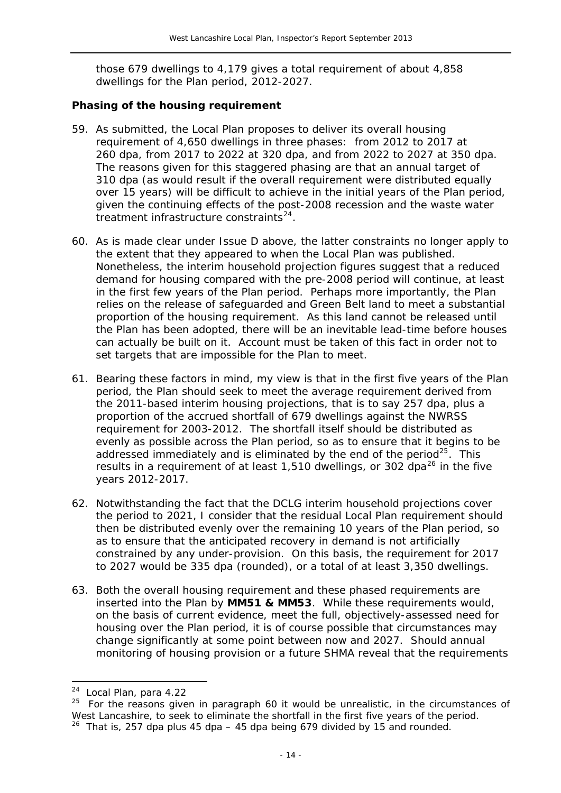those 679 dwellings to 4,179 gives a total requirement of about 4,858 dwellings for the Plan period, 2012-2027.

#### *Phasing of the housing requirement*

- 59. As submitted, the Local Plan proposes to deliver its overall housing requirement of 4,650 dwellings in three phases: from 2012 to 2017 at 260 dpa, from 2017 to 2022 at 320 dpa, and from 2022 to 2027 at 350 dpa. The reasons given for this staggered phasing are that an annual target of 310 dpa (as would result if the overall requirement were distributed equally over 15 years) will be difficult to achieve in the initial years of the Plan period, given the continuing effects of the post-2008 recession and the waste water treatment infrastructure constraints $^{24}$  $^{24}$  $^{24}$ .
- 60. As is made clear under Issue D above, the latter constraints no longer apply to the extent that they appeared to when the Local Plan was published. Nonetheless, the interim household projection figures suggest that a reduced demand for housing compared with the pre-2008 period will continue, at least in the first few years of the Plan period. Perhaps more importantly, the Plan relies on the release of safeguarded and Green Belt land to meet a substantial proportion of the housing requirement. As this land cannot be released until the Plan has been adopted, there will be an inevitable lead-time before houses can actually be built on it. Account must be taken of this fact in order not to set targets that are impossible for the Plan to meet.
- 61. Bearing these factors in mind, my view is that in the first five years of the Plan period, the Plan should seek to meet the average requirement derived from the 2011-based interim housing projections, that is to say 257 dpa, plus a proportion of the accrued shortfall of 679 dwellings against the NWRSS requirement for 2003-2012. The shortfall itself should be distributed as evenly as possible across the Plan period, so as to ensure that it begins to be addressed immediately and is eliminated by the end of the period<sup>[25](#page-14-0)</sup>. This results in a requirement of at least 1,510 dwellings, or 302 dpa<sup>[26](#page-14-1)</sup> in the five years 2012-2017.
- 62. Notwithstanding the fact that the DCLG interim household projections cover the period to 2021, I consider that the residual Local Plan requirement should then be distributed evenly over the remaining 10 years of the Plan period, so as to ensure that the anticipated recovery in demand is not artificially constrained by any under-provision. On this basis, the requirement for 2017 to 2027 would be 335 dpa (rounded), or a total of at least 3,350 dwellings.
- 63. Both the overall housing requirement and these phased requirements are inserted into the Plan by **MM51 & MM53**. While these requirements would, on the basis of current evidence, meet the full, objectively-assessed need for housing over the Plan period, it is of course possible that circumstances may change significantly at some point between now and 2027. Should annual monitoring of housing provision or a future SHMA reveal that the requirements

<sup>24</sup> Local Plan, para 4.22

<span id="page-14-1"></span><span id="page-14-0"></span> $25$  For the reasons given in paragraph 60 it would be unrealistic, in the circumstances of West Lancashire, to seek to eliminate the shortfall in the first five years of the period.  $26$  That is, 257 dpa plus 45 dpa  $-$  45 dpa being 679 divided by 15 and rounded.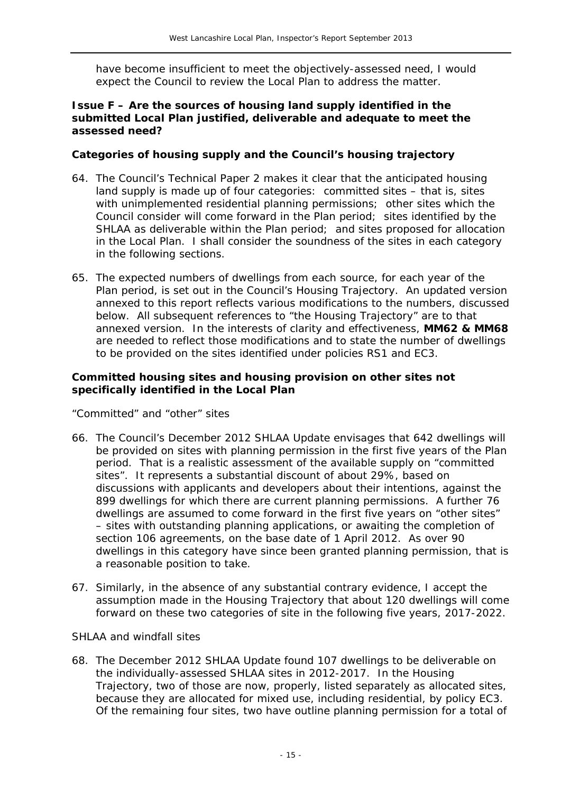have become insufficient to meet the objectively-assessed need, I would expect the Council to review the Local Plan to address the matter.

#### **Issue F – Are the sources of housing land supply identified in the submitted Local Plan justified, deliverable and adequate to meet the assessed need?**

### *Categories of housing supply and the Council's housing trajectory*

- 64. The Council's *Technical Paper 2* makes it clear that the anticipated housing land supply is made up of four categories: committed sites – that is, sites with unimplemented residential planning permissions; other sites which the Council consider will come forward in the Plan period; sites identified by the SHLAA as deliverable within the Plan period; and sites proposed for allocation in the Local Plan. I shall consider the soundness of the sites in each category in the following sections.
- 65. The expected numbers of dwellings from each source, for each year of the Plan period, is set out in the Council's Housing Trajectory. An updated version annexed to this report reflects various modifications to the numbers, discussed below. All subsequent references to "the Housing Trajectory" are to that annexed version. In the interests of clarity and effectiveness, **MM62 & MM68** are needed to reflect those modifications and to state the number of dwellings to be provided on the sites identified under policies RS1 and EC3.

#### *Committed housing sites and housing provision on other sites not specifically identified in the Local Plan*

#### *"Committed" and "other" sites*

- 66. The Council's December 2012 SHLAA Update envisages that 642 dwellings will be provided on sites with planning permission in the first five years of the Plan period. That is a realistic assessment of the available supply on "committed sites". It represents a substantial discount of about 29%, based on discussions with applicants and developers about their intentions, against the 899 dwellings for which there are current planning permissions. A further 76 dwellings are assumed to come forward in the first five years on "other sites" – sites with outstanding planning applications, or awaiting the completion of section 106 agreements, on the base date of 1 April 2012. As over 90 dwellings in this category have since been granted planning permission, that is a reasonable position to take.
- 67. Similarly, in the absence of any substantial contrary evidence, I accept the assumption made in the Housing Trajectory that about 120 dwellings will come forward on these two categories of site in the following five years, 2017-2022.

#### *SHLAA and windfall sites*

68. The December 2012 SHLAA Update found 107 dwellings to be deliverable on the individually-assessed SHLAA sites in 2012-2017. In the Housing Trajectory, two of those are now, properly, listed separately as allocated sites, because they are allocated for mixed use, including residential, by policy EC3. Of the remaining four sites, two have outline planning permission for a total of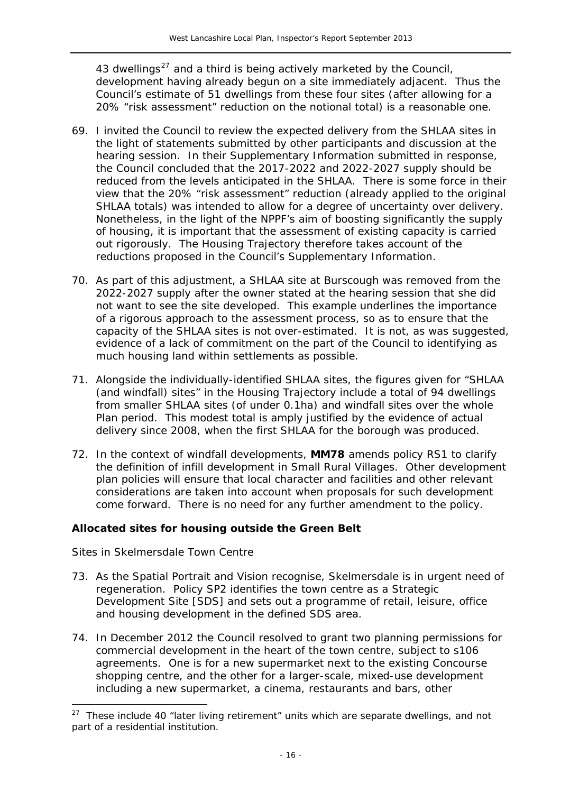43 dwellings $^{27}$  and a third is being actively marketed by the Council, development having already begun on a site immediately adjacent. Thus the Council's estimate of 51 dwellings from these four sites (after allowing for a 20% "risk assessment" reduction on the notional total) is a reasonable one.

- 69. I invited the Council to review the expected delivery from the SHLAA sites in the light of statements submitted by other participants and discussion at the hearing session. In their *Supplementary Information* submitted in response, the Council concluded that the 2017-2022 and 2022-2027 supply should be reduced from the levels anticipated in the SHLAA. There is some force in their view that the 20% "risk assessment" reduction (already applied to the original SHLAA totals) was intended to allow for a degree of uncertainty over delivery. Nonetheless, in the light of the NPPF's aim of boosting significantly the supply of housing, it is important that the assessment of existing capacity is carried out rigorously. The Housing Trajectory therefore takes account of the reductions proposed in the Council's *Supplementary Information*.
- 70. As part of this adjustment, a SHLAA site at Burscough was removed from the 2022-2027 supply after the owner stated at the hearing session that she did not want to see the site developed. This example underlines the importance of a rigorous approach to the assessment process, so as to ensure that the capacity of the SHLAA sites is not over-estimated. It is not, as was suggested, evidence of a lack of commitment on the part of the Council to identifying as much housing land within settlements as possible.
- 71. Alongside the individually-identified SHLAA sites, the figures given for "SHLAA (and windfall) sites" in the Housing Trajectory include a total of 94 dwellings from smaller SHLAA sites (of under 0.1ha) and windfall sites over the whole Plan period. This modest total is amply justified by the evidence of actual delivery since 2008, when the first SHLAA for the borough was produced.
- 72. In the context of windfall developments, **MM78** amends policy RS1 to clarify the definition of infill development in Small Rural Villages. Other development plan policies will ensure that local character and facilities and other relevant considerations are taken into account when proposals for such development come forward. There is no need for any further amendment to the policy.

# *Allocated sites for housing outside the Green Belt*

# *Sites in Skelmersdale Town Centre*

- 73. As the Spatial Portrait and Vision recognise, Skelmersdale is in urgent need of regeneration. Policy SP2 identifies the town centre as a Strategic Development Site [SDS] and sets out a programme of retail, leisure, office and housing development in the defined SDS area.
- 74. In December 2012 the Council resolved to grant two planning permissions for commercial development in the heart of the town centre, subject to s106 agreements. One is for a new supermarket next to the existing Concourse shopping centre, and the other for a larger-scale, mixed-use development including a new supermarket, a cinema, restaurants and bars, other

 $27$  These include 40 "later living retirement" units which are separate dwellings, and not part of a residential institution.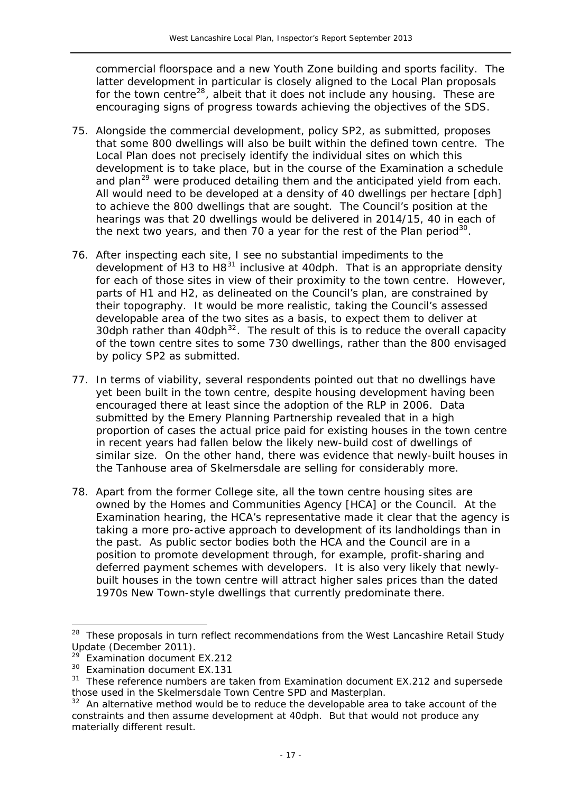commercial floorspace and a new Youth Zone building and sports facility. The latter development in particular is closely aligned to the Local Plan proposals for the town centre<sup>28</sup>, albeit that it does not include any housing. These are encouraging signs of progress towards achieving the objectives of the SDS.

- 75. Alongside the commercial development, policy SP2, as submitted, proposes that some 800 dwellings will also be built within the defined town centre. The Local Plan does not precisely identify the individual sites on which this development is to take place, but in the course of the Examination a schedule and plan<sup>[29](#page-17-0)</sup> were produced detailing them and the anticipated yield from each. All would need to be developed at a density of 40 dwellings per hectare [dph] to achieve the 800 dwellings that are sought. The Council's position at the hearings was that 20 dwellings would be delivered in 2014/15, 40 in each of the next two years, and then 70 a year for the rest of the Plan period $30$ .
- 76. After inspecting each site, I see no substantial impediments to the development of H3 to H8 $31$  inclusive at 40dph. That is an appropriate density for each of those sites in view of their proximity to the town centre. However, parts of H1 and H2, as delineated on the Council's plan, are constrained by their topography. It would be more realistic, taking the Council's assessed developable area of the two sites as a basis, to expect them to deliver at 30dph rather than 40dph<sup>[32](#page-17-3)</sup>. The result of this is to reduce the overall capacity of the town centre sites to some 730 dwellings, rather than the 800 envisaged by policy SP2 as submitted.
- 77. In terms of viability, several respondents pointed out that no dwellings have yet been built in the town centre, despite housing development having been encouraged there at least since the adoption of the RLP in 2006. Data submitted by the Emery Planning Partnership revealed that in a high proportion of cases the actual price paid for existing houses in the town centre in recent years had fallen below the likely new-build cost of dwellings of similar size. On the other hand, there was evidence that newly-built houses in the Tanhouse area of Skelmersdale are selling for considerably more.
- 78. Apart from the former College site, all the town centre housing sites are owned by the Homes and Communities Agency [HCA] or the Council. At the Examination hearing, the HCA's representative made it clear that the agency is taking a more pro-active approach to development of its landholdings than in the past. As public sector bodies both the HCA and the Council are in a position to promote development through, for example, profit-sharing and deferred payment schemes with developers. It is also very likely that newlybuilt houses in the town centre will attract higher sales prices than the dated 1970s New Town-style dwellings that currently predominate there.

<sup>28</sup> These proposals in turn reflect recommendations from the *West Lancashire Retail Study Update* (December 2011).

**Examination document EX.212** 

<span id="page-17-1"></span><span id="page-17-0"></span><sup>&</sup>lt;sup>30</sup> Examination document EX.131

<span id="page-17-2"></span><sup>31</sup> These reference numbers are taken from Examination document EX.212 and supersede those used in the *Skelmersdale Town Centre SPD and Masterplan*.<br><sup>32</sup> An alternative method would be to reduce the developable area to take account of the

<span id="page-17-3"></span>constraints and then assume development at 40dph. But that would not produce any materially different result.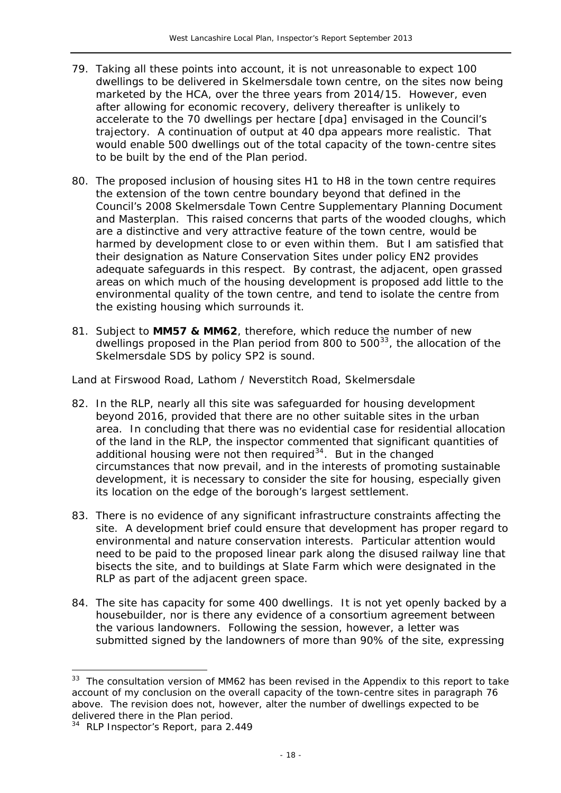- 79. Taking all these points into account, it is not unreasonable to expect 100 dwellings to be delivered in Skelmersdale town centre, on the sites now being marketed by the HCA, over the three years from 2014/15. However, even after allowing for economic recovery, delivery thereafter is unlikely to accelerate to the 70 dwellings per hectare [dpa] envisaged in the Council's trajectory. A continuation of output at 40 dpa appears more realistic. That would enable 500 dwellings out of the total capacity of the town-centre sites to be built by the end of the Plan period.
- 80. The proposed inclusion of housing sites H1 to H8 in the town centre requires the extension of the town centre boundary beyond that defined in the Council's 2008 *Skelmersdale Town Centre Supplementary Planning Document and Masterplan*. This raised concerns that parts of the wooded cloughs, which are a distinctive and very attractive feature of the town centre, would be harmed by development close to or even within them. But I am satisfied that their designation as Nature Conservation Sites under policy EN2 provides adequate safeguards in this respect. By contrast, the adjacent, open grassed areas on which much of the housing development is proposed add little to the environmental quality of the town centre, and tend to isolate the centre from the existing housing which surrounds it.
- 81. Subject to **MM57 & MM62**, therefore, which reduce the number of new dwellings proposed in the Plan period from 800 to  $500^{33}$  $500^{33}$  $500^{33}$ , the allocation of the Skelmersdale SDS by policy SP2 is sound.

#### *Land at Firswood Road, Lathom / Neverstitch Road, Skelmersdale*

- 82. In the RLP, nearly all this site was safeguarded for housing development beyond 2016, provided that there are no other suitable sites in the urban area. In concluding that there was no evidential case for residential allocation of the land in the RLP, the inspector commented that significant quantities of additional housing were not then required<sup>34</sup>. But in the changed circumstances that now prevail, and in the interests of promoting sustainable development, it is necessary to consider the site for housing, especially given its location on the edge of the borough's largest settlement.
- 83. There is no evidence of any significant infrastructure constraints affecting the site. A development brief could ensure that development has proper regard to environmental and nature conservation interests. Particular attention would need to be paid to the proposed linear park along the disused railway line that bisects the site, and to buildings at Slate Farm which were designated in the RLP as part of the adjacent green space.
- 84. The site has capacity for some 400 dwellings. It is not yet openly backed by a housebuilder, nor is there any evidence of a consortium agreement between the various landowners. Following the session, however, a letter was submitted signed by the landowners of more than 90% of the site, expressing

<sup>&</sup>lt;sup>33</sup> The consultation version of MM62 has been revised in the Appendix to this report to take account of my conclusion on the overall capacity of the town-centre sites in paragraph 76 above. The revision does not, however, alter the number of dwellings expected to be delivered there in the Plan period.

<span id="page-18-0"></span> $34$  RLP Inspector's Report, para 2.449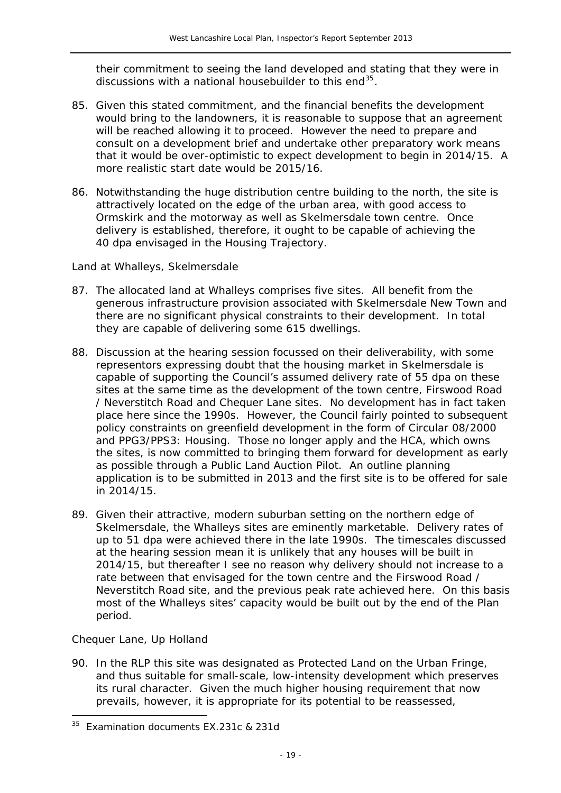their commitment to seeing the land developed and stating that they were in discussions with a national housebuilder to this end $^{35}$ .

- 85. Given this stated commitment, and the financial benefits the development would bring to the landowners, it is reasonable to suppose that an agreement will be reached allowing it to proceed. However the need to prepare and consult on a development brief and undertake other preparatory work means that it would be over-optimistic to expect development to begin in 2014/15. A more realistic start date would be 2015/16.
- 86. Notwithstanding the huge distribution centre building to the north, the site is attractively located on the edge of the urban area, with good access to Ormskirk and the motorway as well as Skelmersdale town centre. Once delivery is established, therefore, it ought to be capable of achieving the 40 dpa envisaged in the Housing Trajectory.

#### *Land at Whalleys, Skelmersdale*

- 87. The allocated land at Whalleys comprises five sites. All benefit from the generous infrastructure provision associated with Skelmersdale New Town and there are no significant physical constraints to their development. In total they are capable of delivering some 615 dwellings.
- 88. Discussion at the hearing session focussed on their deliverability, with some representors expressing doubt that the housing market in Skelmersdale is capable of supporting the Council's assumed delivery rate of 55 dpa on these sites at the same time as the development of the town centre, Firswood Road / Neverstitch Road and Chequer Lane sites. No development has in fact taken place here since the 1990s. However, the Council fairly pointed to subsequent policy constraints on greenfield development in the form of Circular 08/2000 and PPG3/PPS3: *Housing*. Those no longer apply and the HCA, which owns the sites, is now committed to bringing them forward for development as early as possible through a Public Land Auction Pilot. An outline planning application is to be submitted in 2013 and the first site is to be offered for sale in 2014/15.
- 89. Given their attractive, modern suburban setting on the northern edge of Skelmersdale, the Whalleys sites are eminently marketable. Delivery rates of up to 51 dpa were achieved there in the late 1990s. The timescales discussed at the hearing session mean it is unlikely that any houses will be built in 2014/15, but thereafter I see no reason why delivery should not increase to a rate between that envisaged for the town centre and the Firswood Road / Neverstitch Road site, and the previous peak rate achieved here. On this basis most of the Whalleys sites' capacity would be built out by the end of the Plan period.

# *Chequer Lane, Up Holland*

 $\overline{a}$ 

90. In the RLP this site was designated as Protected Land on the Urban Fringe, and thus suitable for small-scale, low-intensity development which preserves its rural character. Given the much higher housing requirement that now prevails, however, it is appropriate for its potential to be reassessed,

<span id="page-19-0"></span><sup>&</sup>lt;sup>35</sup> Examination documents EX.231c & 231d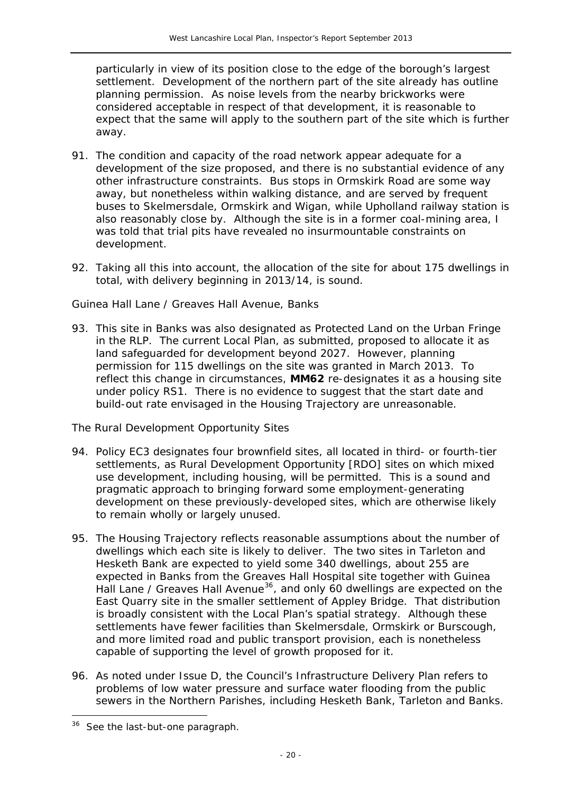particularly in view of its position close to the edge of the borough's largest settlement. Development of the northern part of the site already has outline planning permission. As noise levels from the nearby brickworks were considered acceptable in respect of that development, it is reasonable to expect that the same will apply to the southern part of the site which is further away.

- 91. The condition and capacity of the road network appear adequate for a development of the size proposed, and there is no substantial evidence of any other infrastructure constraints. Bus stops in Ormskirk Road are some way away, but nonetheless within walking distance, and are served by frequent buses to Skelmersdale, Ormskirk and Wigan, while Upholland railway station is also reasonably close by. Although the site is in a former coal-mining area, I was told that trial pits have revealed no insurmountable constraints on development.
- 92. Taking all this into account, the allocation of the site for about 175 dwellings in total, with delivery beginning in 2013/14, is sound.

# *Guinea Hall Lane / Greaves Hall Avenue, Banks*

93. This site in Banks was also designated as Protected Land on the Urban Fringe in the RLP. The current Local Plan, as submitted, proposed to allocate it as land safeguarded for development beyond 2027. However, planning permission for 115 dwellings on the site was granted in March 2013. To reflect this change in circumstances, **MM62** re-designates it as a housing site under policy RS1. There is no evidence to suggest that the start date and build-out rate envisaged in the Housing Trajectory are unreasonable.

# *The Rural Development Opportunity Sites*

- 94. Policy EC3 designates four brownfield sites, all located in third- or fourth-tier settlements, as Rural Development Opportunity [RDO] sites on which mixed use development, including housing, will be permitted. This is a sound and pragmatic approach to bringing forward some employment-generating development on these previously-developed sites, which are otherwise likely to remain wholly or largely unused.
- 95. The Housing Trajectory reflects reasonable assumptions about the number of dwellings which each site is likely to deliver. The two sites in Tarleton and Hesketh Bank are expected to yield some 340 dwellings, about 255 are expected in Banks from the Greaves Hall Hospital site together with Guinea Hall Lane / Greaves Hall Avenue<sup>[36](#page-19-0)</sup>, and only 60 dwellings are expected on the East Quarry site in the smaller settlement of Appley Bridge. That distribution is broadly consistent with the Local Plan's spatial strategy. Although these settlements have fewer facilities than Skelmersdale, Ormskirk or Burscough, and more limited road and public transport provision, each is nonetheless capable of supporting the level of growth proposed for it.
- 96. As noted under Issue D, the Council's *Infrastructure Delivery Plan* refers to problems of low water pressure and surface water flooding from the public sewers in the Northern Parishes, including Hesketh Bank, Tarleton and Banks.

 $\overline{a}$ 

<sup>&</sup>lt;sup>36</sup> See the last-but-one paragraph.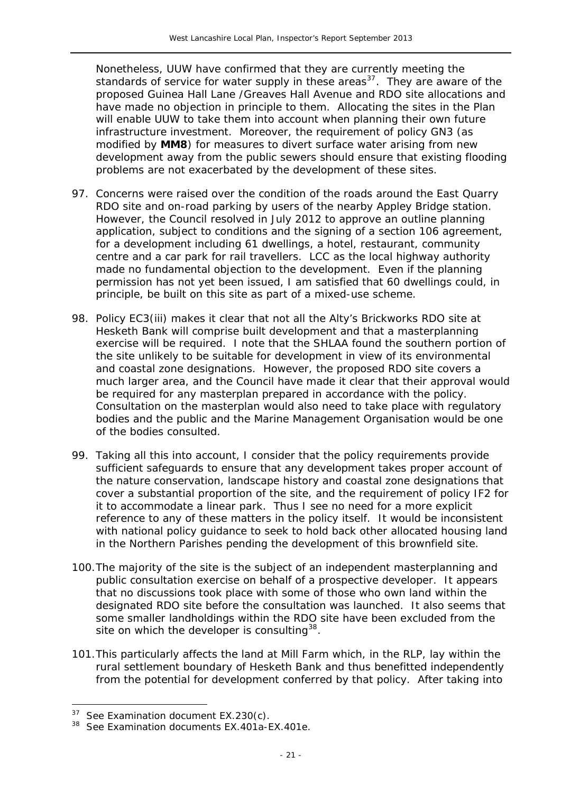Nonetheless, UUW have confirmed that they are currently meeting the standards of service for water supply in these areas<sup>37</sup>. They are aware of the proposed Guinea Hall Lane /Greaves Hall Avenue and RDO site allocations and have made no objection in principle to them. Allocating the sites in the Plan will enable UUW to take them into account when planning their own future infrastructure investment. Moreover, the requirement of policy GN3 (as modified by **MM8**) for measures to divert surface water arising from new development away from the public sewers should ensure that existing flooding problems are not exacerbated by the development of these sites.

- 97. Concerns were raised over the condition of the roads around the East Quarry RDO site and on-road parking by users of the nearby Appley Bridge station. However, the Council resolved in July 2012 to approve an outline planning application, subject to conditions and the signing of a section 106 agreement, for a development including 61 dwellings, a hotel, restaurant, community centre and a car park for rail travellers. LCC as the local highway authority made no fundamental objection to the development. Even if the planning permission has not yet been issued, I am satisfied that 60 dwellings could, in principle, be built on this site as part of a mixed-use scheme.
- 98. Policy EC3(iii) makes it clear that not all the Alty's Brickworks RDO site at Hesketh Bank will comprise built development and that a masterplanning exercise will be required. I note that the SHLAA found the southern portion of the site unlikely to be suitable for development in view of its environmental and coastal zone designations. However, the proposed RDO site covers a much larger area, and the Council have made it clear that their approval would be required for any masterplan prepared in accordance with the policy. Consultation on the masterplan would also need to take place with regulatory bodies and the public and the Marine Management Organisation would be one of the bodies consulted.
- 99. Taking all this into account, I consider that the policy requirements provide sufficient safeguards to ensure that any development takes proper account of the nature conservation, landscape history and coastal zone designations that cover a substantial proportion of the site, and the requirement of policy IF2 for it to accommodate a linear park. Thus I see no need for a more explicit reference to any of these matters in the policy itself. It would be inconsistent with national policy guidance to seek to hold back other allocated housing land in the Northern Parishes pending the development of this brownfield site.
- 100.The majority of the site is the subject of an independent masterplanning and public consultation exercise on behalf of a prospective developer. It appears that no discussions took place with some of those who own land within the designated RDO site before the consultation was launched. It also seems that some smaller landholdings within the RDO site have been excluded from the site on which the developer is consulting  $38$ .
- 101.This particularly affects the land at Mill Farm which, in the RLP, lay within the rural settlement boundary of Hesketh Bank and thus benefitted independently from the potential for development conferred by that policy. After taking into

<span id="page-21-1"></span> $37$  See Examination document EX.230(c).

<span id="page-21-0"></span><sup>38</sup> See Examination documents EX.401a-EX.401e.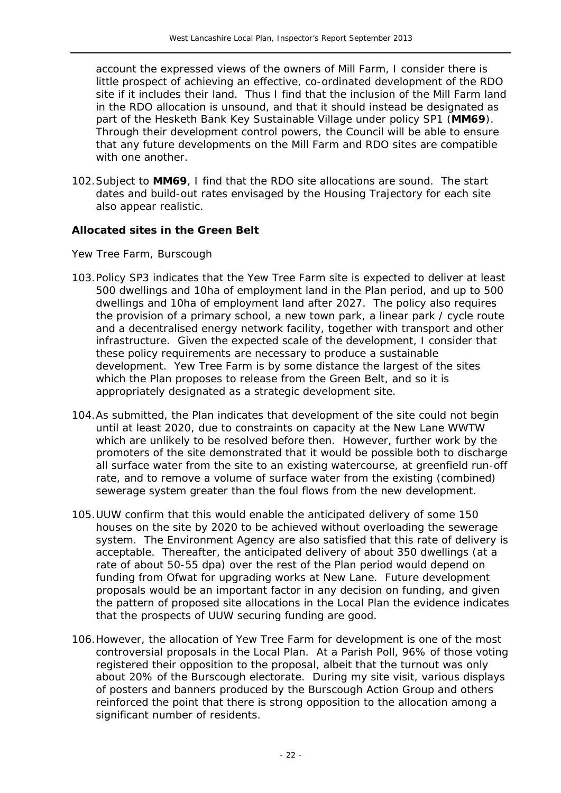account the expressed views of the owners of Mill Farm, I consider there is little prospect of achieving an effective, co-ordinated development of the RDO site if it includes their land. Thus I find that the inclusion of the Mill Farm land in the RDO allocation is unsound, and that it should instead be designated as part of the Hesketh Bank Key Sustainable Village under policy SP1 (**MM69**). Through their development control powers, the Council will be able to ensure that any future developments on the Mill Farm and RDO sites are compatible with one another.

102.Subject to **MM69**, I find that the RDO site allocations are sound. The start dates and build-out rates envisaged by the Housing Trajectory for each site also appear realistic.

#### *Allocated sites in the Green Belt*

#### *Yew Tree Farm, Burscough*

- 103.Policy SP3 indicates that the Yew Tree Farm site is expected to deliver at least 500 dwellings and 10ha of employment land in the Plan period, and up to 500 dwellings and 10ha of employment land after 2027. The policy also requires the provision of a primary school, a new town park, a linear park / cycle route and a decentralised energy network facility, together with transport and other infrastructure. Given the expected scale of the development, I consider that these policy requirements are necessary to produce a sustainable development. Yew Tree Farm is by some distance the largest of the sites which the Plan proposes to release from the Green Belt, and so it is appropriately designated as a strategic development site.
- 104.As submitted, the Plan indicates that development of the site could not begin until at least 2020, due to constraints on capacity at the New Lane WWTW which are unlikely to be resolved before then. However, further work by the promoters of the site demonstrated that it would be possible both to discharge all surface water from the site to an existing watercourse, at greenfield run-off rate, and to remove a volume of surface water from the existing (combined) sewerage system greater than the foul flows from the new development.
- 105.UUW confirm that this would enable the anticipated delivery of some 150 houses on the site by 2020 to be achieved without overloading the sewerage system. The Environment Agency are also satisfied that this rate of delivery is acceptable. Thereafter, the anticipated delivery of about 350 dwellings (at a rate of about 50-55 dpa) over the rest of the Plan period would depend on funding from Ofwat for upgrading works at New Lane. Future development proposals would be an important factor in any decision on funding, and given the pattern of proposed site allocations in the Local Plan the evidence indicates that the prospects of UUW securing funding are good.
- 106.However, the allocation of Yew Tree Farm for development is one of the most controversial proposals in the Local Plan. At a Parish Poll, 96% of those voting registered their opposition to the proposal, albeit that the turnout was only about 20% of the Burscough electorate. During my site visit, various displays of posters and banners produced by the Burscough Action Group and others reinforced the point that there is strong opposition to the allocation among a significant number of residents.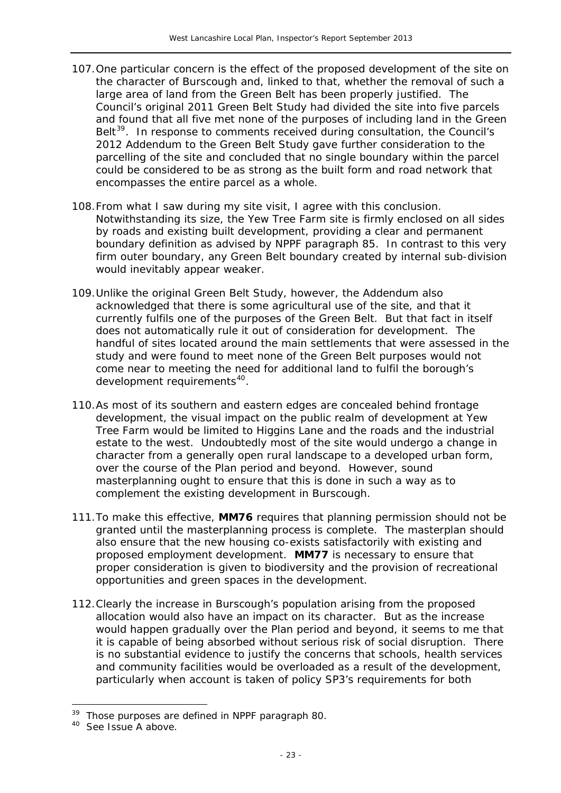- 107.One particular concern is the effect of the proposed development of the site on the character of Burscough and, linked to that, whether the removal of such a large area of land from the Green Belt has been properly justified. The Council's original 2011 *Green Belt Study* had divided the site into five parcels and found that all five met none of the purposes of including land in the Green Belt<sup>[39](#page-21-1)</sup>. In response to comments received during consultation, the Council's 2012 Addendum to the *Green Belt Study* gave further consideration to the parcelling of the site and concluded that *no single boundary within the parcel could be considered to be as strong as the built form and road network that encompasses the entire parcel as a whole.*
- 108.From what I saw during my site visit, I agree with this conclusion. Notwithstanding its size, the Yew Tree Farm site is firmly enclosed on all sides by roads and existing built development, providing a clear and permanent boundary definition as advised by NPPF paragraph 85. In contrast to this very firm outer boundary, any Green Belt boundary created by internal sub-division would inevitably appear weaker.
- 109.Unlike the original *Green Belt Study*, however, the Addendum also acknowledged that there is some agricultural use of the site, and that it currently fulfils one of the purposes of the Green Belt. But that fact in itself does not automatically rule it out of consideration for development. The handful of sites located around the main settlements that were assessed in the study and were found to meet none of the Green Belt purposes would not come near to meeting the need for additional land to fulfil the borough's development requirements<sup>[40](#page-23-0)</sup>.
- 110.As most of its southern and eastern edges are concealed behind frontage development, the visual impact on the public realm of development at Yew Tree Farm would be limited to Higgins Lane and the roads and the industrial estate to the west. Undoubtedly most of the site would undergo a change in character from a generally open rural landscape to a developed urban form, over the course of the Plan period and beyond. However, sound masterplanning ought to ensure that this is done in such a way as to complement the existing development in Burscough.
- 111.To make this effective, **MM76** requires that planning permission should not be granted until the masterplanning process is complete. The masterplan should also ensure that the new housing co-exists satisfactorily with existing and proposed employment development. **MM77** is necessary to ensure that proper consideration is given to biodiversity and the provision of recreational opportunities and green spaces in the development.
- 112.Clearly the increase in Burscough's population arising from the proposed allocation would also have an impact on its character. But as the increase would happen gradually over the Plan period and beyond, it seems to me that it is capable of being absorbed without serious risk of social disruption. There is no substantial evidence to justify the concerns that schools, health services and community facilities would be overloaded as a result of the development, particularly when account is taken of policy SP3's requirements for both

<span id="page-23-1"></span><sup>&</sup>lt;sup>39</sup> Those purposes are defined in NPPF paragraph 80.

<span id="page-23-0"></span><sup>&</sup>lt;sup>40</sup> See Issue A above.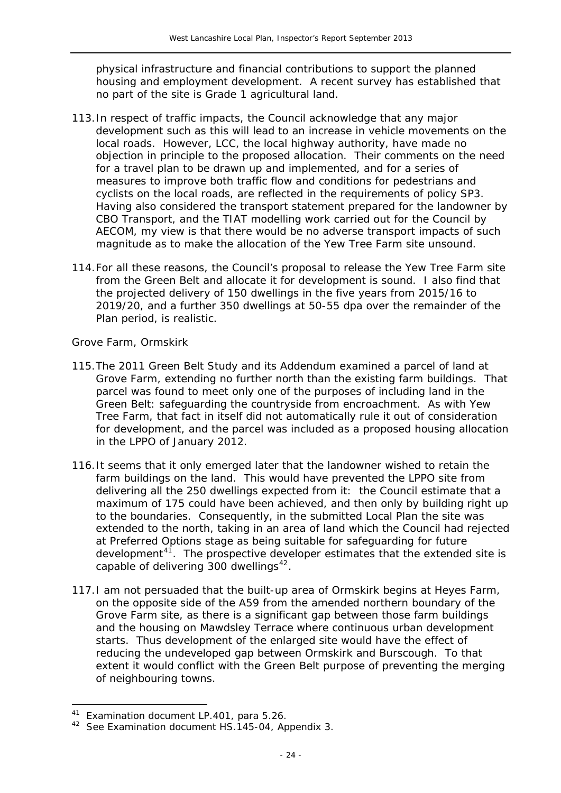physical infrastructure and financial contributions to support the planned housing and employment development. A recent survey has established that no part of the site is Grade 1 agricultural land.

- 113.In respect of traffic impacts, the Council acknowledge that any major development such as this will lead to an increase in vehicle movements on the local roads. However, LCC, the local highway authority, have made no objection in principle to the proposed allocation. Their comments on the need for a travel plan to be drawn up and implemented, and for a series of measures to improve both traffic flow and conditions for pedestrians and cyclists on the local roads, are reflected in the requirements of policy SP3. Having also considered the transport statement prepared for the landowner by CBO Transport, and the TIAT modelling work carried out for the Council by AECOM, my view is that there would be no adverse transport impacts of such magnitude as to make the allocation of the Yew Tree Farm site unsound.
- 114.For all these reasons, the Council's proposal to release the Yew Tree Farm site from the Green Belt and allocate it for development is sound. I also find that the projected delivery of 150 dwellings in the five years from 2015/16 to 2019/20, and a further 350 dwellings at 50-55 dpa over the remainder of the Plan period, is realistic.

#### *Grove Farm, Ormskirk*

- 115.The 2011 *Green Belt Study* and its Addendum examined a parcel of land at Grove Farm, extending no further north than the existing farm buildings. That parcel was found to meet only one of the purposes of including land in the Green Belt: safeguarding the countryside from encroachment. As with Yew Tree Farm, that fact in itself did not automatically rule it out of consideration for development, and the parcel was included as a proposed housing allocation in the LPPO of January 2012.
- 116.It seems that it only emerged later that the landowner wished to retain the farm buildings on the land. This would have prevented the LPPO site from delivering all the 250 dwellings expected from it: the Council estimate that a maximum of 175 could have been achieved, and then only by building right up to the boundaries. Consequently, in the submitted Local Plan the site was extended to the north, taking in an area of land which the Council had rejected at Preferred Options stage as being suitable for safeguarding for future development<sup>[41](#page-23-1)</sup>. The prospective developer estimates that the extended site is capable of delivering  $300$  dwellings<sup>[42](#page-24-0)</sup>.
- 117.I am not persuaded that the built-up area of Ormskirk begins at Heyes Farm, on the opposite side of the A59 from the amended northern boundary of the Grove Farm site, as there is a significant gap between those farm buildings and the housing on Mawdsley Terrace where continuous urban development starts. Thus development of the enlarged site would have the effect of reducing the undeveloped gap between Ormskirk and Burscough. To that extent it would conflict with the Green Belt purpose of preventing the merging of neighbouring towns.

<sup>&</sup>lt;sup>41</sup> Examination document LP.401, para 5.26.

<span id="page-24-0"></span><sup>&</sup>lt;sup>42</sup> See Examination document HS.145-04, Appendix 3.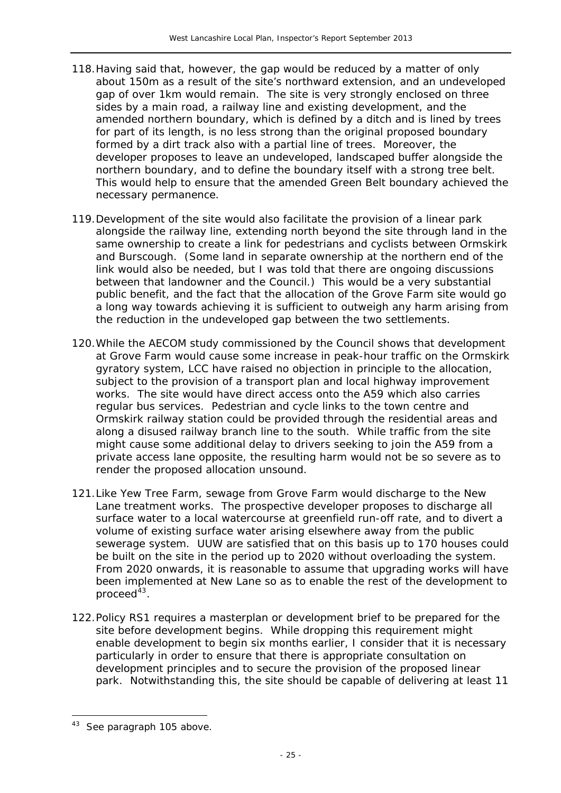- 118.Having said that, however, the gap would be reduced by a matter of only about 150m as a result of the site's northward extension, and an undeveloped gap of over 1km would remain. The site is very strongly enclosed on three sides by a main road, a railway line and existing development, and the amended northern boundary, which is defined by a ditch and is lined by trees for part of its length, is no less strong than the original proposed boundary formed by a dirt track also with a partial line of trees. Moreover, the developer proposes to leave an undeveloped, landscaped buffer alongside the northern boundary, and to define the boundary itself with a strong tree belt. This would help to ensure that the amended Green Belt boundary achieved the necessary permanence.
- 119.Development of the site would also facilitate the provision of a linear park alongside the railway line, extending north beyond the site through land in the same ownership to create a link for pedestrians and cyclists between Ormskirk and Burscough. (Some land in separate ownership at the northern end of the link would also be needed, but I was told that there are ongoing discussions between that landowner and the Council.) This would be a very substantial public benefit, and the fact that the allocation of the Grove Farm site would go a long way towards achieving it is sufficient to outweigh any harm arising from the reduction in the undeveloped gap between the two settlements.
- 120.While the AECOM study commissioned by the Council shows that development at Grove Farm would cause some increase in peak-hour traffic on the Ormskirk gyratory system, LCC have raised no objection in principle to the allocation, subject to the provision of a transport plan and local highway improvement works. The site would have direct access onto the A59 which also carries regular bus services. Pedestrian and cycle links to the town centre and Ormskirk railway station could be provided through the residential areas and along a disused railway branch line to the south. While traffic from the site might cause some additional delay to drivers seeking to join the A59 from a private access lane opposite, the resulting harm would not be so severe as to render the proposed allocation unsound.
- 121.Like Yew Tree Farm, sewage from Grove Farm would discharge to the New Lane treatment works. The prospective developer proposes to discharge all surface water to a local watercourse at greenfield run-off rate, and to divert a volume of existing surface water arising elsewhere away from the public sewerage system. UUW are satisfied that on this basis up to 170 houses could be built on the site in the period up to 2020 without overloading the system. From 2020 onwards, it is reasonable to assume that upgrading works will have been implemented at New Lane so as to enable the rest of the development to proceed $43$ .
- 122.Policy RS1 requires a masterplan or development brief to be prepared for the site before development begins. While dropping this requirement might enable development to begin six months earlier, I consider that it is necessary particularly in order to ensure that there is appropriate consultation on development principles and to secure the provision of the proposed linear park. Notwithstanding this, the site should be capable of delivering at least 11

 $\overline{a}$ 

<sup>&</sup>lt;sup>43</sup> See paragraph 105 above.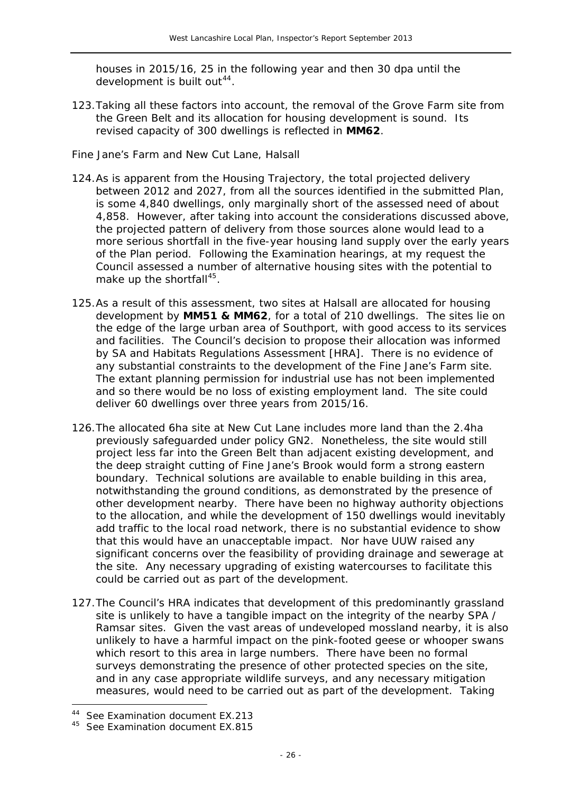houses in 2015/16, 25 in the following year and then 30 dpa until the development is built out<sup>44</sup>.

123.Taking all these factors into account, the removal of the Grove Farm site from the Green Belt and its allocation for housing development is sound. Its revised capacity of 300 dwellings is reflected in **MM62**.

#### *Fine Jane's Farm and New Cut Lane, Halsall*

- 124.As is apparent from the Housing Trajectory, the total projected delivery between 2012 and 2027, from all the sources identified in the submitted Plan, is some 4,840 dwellings, only marginally short of the assessed need of about 4,858. However, after taking into account the considerations discussed above, the projected pattern of delivery from those sources alone would lead to a more serious shortfall in the five-year housing land supply over the early years of the Plan period. Following the Examination hearings, at my request the Council assessed a number of alternative housing sites with the potential to make up the shortfall $45$ .
- 125.As a result of this assessment, two sites at Halsall are allocated for housing development by **MM51 & MM62**, for a total of 210 dwellings. The sites lie on the edge of the large urban area of Southport, with good access to its services and facilities. The Council's decision to propose their allocation was informed by SA and Habitats Regulations Assessment [HRA]. There is no evidence of any substantial constraints to the development of the Fine Jane's Farm site. The extant planning permission for industrial use has not been implemented and so there would be no loss of existing employment land. The site could deliver 60 dwellings over three years from 2015/16.
- 126.The allocated 6ha site at New Cut Lane includes more land than the 2.4ha previously safeguarded under policy GN2. Nonetheless, the site would still project less far into the Green Belt than adjacent existing development, and the deep straight cutting of Fine Jane's Brook would form a strong eastern boundary. Technical solutions are available to enable building in this area, notwithstanding the ground conditions, as demonstrated by the presence of other development nearby. There have been no highway authority objections to the allocation, and while the development of 150 dwellings would inevitably add traffic to the local road network, there is no substantial evidence to show that this would have an unacceptable impact. Nor have UUW raised any significant concerns over the feasibility of providing drainage and sewerage at the site. Any necessary upgrading of existing watercourses to facilitate this could be carried out as part of the development.
- 127.The Council's HRA indicates that development of this predominantly grassland site is unlikely to have a tangible impact on the integrity of the nearby SPA / Ramsar sites. Given the vast areas of undeveloped mossland nearby, it is also unlikely to have a harmful impact on the pink-footed geese or whooper swans which resort to this area in large numbers. There have been no formal surveys demonstrating the presence of other protected species on the site, and in any case appropriate wildlife surveys, and any necessary mitigation measures, would need to be carried out as part of the development. Taking

<span id="page-26-1"></span><sup>44</sup> See Examination document EX.213

<span id="page-26-0"></span><sup>&</sup>lt;sup>45</sup> See Examination document EX.815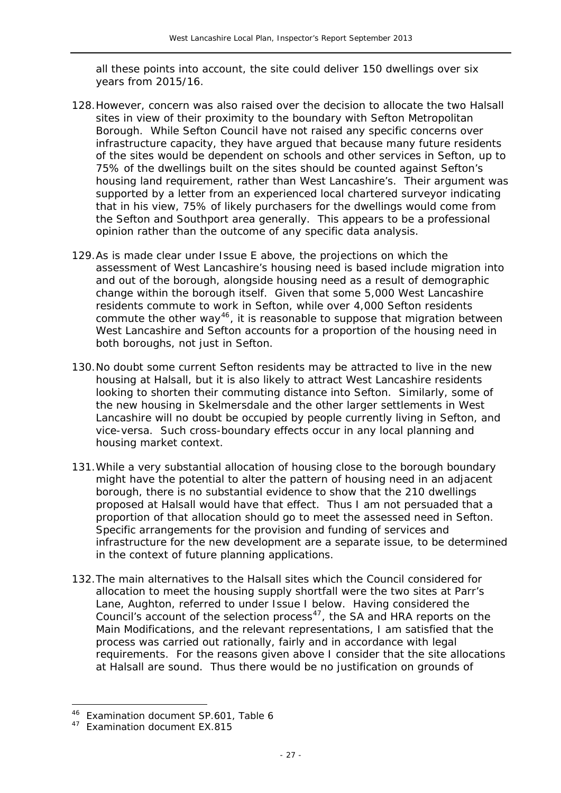all these points into account, the site could deliver 150 dwellings over six years from 2015/16.

- 128.However, concern was also raised over the decision to allocate the two Halsall sites in view of their proximity to the boundary with Sefton Metropolitan Borough. While Sefton Council have not raised any specific concerns over infrastructure capacity, they have argued that because many future residents of the sites would be dependent on schools and other services in Sefton, up to 75% of the dwellings built on the sites should be counted against Sefton's housing land requirement, rather than West Lancashire's. Their argument was supported by a letter from an experienced local chartered surveyor indicating that in his view, 75% of likely purchasers for the dwellings would come from the Sefton and Southport area generally. This appears to be a professional opinion rather than the outcome of any specific data analysis.
- 129.As is made clear under Issue E above, the projections on which the assessment of West Lancashire's housing need is based include migration into and out of the borough, alongside housing need as a result of demographic change within the borough itself. Given that some 5,000 West Lancashire residents commute to work in Sefton, while over 4,000 Sefton residents commute the other way<sup>[46](#page-26-1)</sup>, it is reasonable to suppose that migration between West Lancashire and Sefton accounts for a proportion of the housing need in both boroughs, not just in Sefton.
- 130.No doubt some current Sefton residents may be attracted to live in the new housing at Halsall, but it is also likely to attract West Lancashire residents looking to shorten their commuting distance into Sefton. Similarly, some of the new housing in Skelmersdale and the other larger settlements in West Lancashire will no doubt be occupied by people currently living in Sefton, and vice-versa. Such cross-boundary effects occur in any local planning and housing market context.
- 131.While a very substantial allocation of housing close to the borough boundary might have the potential to alter the pattern of housing need in an adjacent borough, there is no substantial evidence to show that the 210 dwellings proposed at Halsall would have that effect. Thus I am not persuaded that a proportion of that allocation should go to meet the assessed need in Sefton. Specific arrangements for the provision and funding of services and infrastructure for the new development are a separate issue, to be determined in the context of future planning applications.
- 132.The main alternatives to the Halsall sites which the Council considered for allocation to meet the housing supply shortfall were the two sites at Parr's Lane, Aughton, referred to under Issue I below. Having considered the Council's account of the selection process $47$ , the SA and HRA reports on the Main Modifications, and the relevant representations, I am satisfied that the process was carried out rationally, fairly and in accordance with legal requirements. For the reasons given above I consider that the site allocations at Halsall are sound. Thus there would be no justification on grounds of

<sup>46</sup> Examination document SP.601, Table 6

<span id="page-27-0"></span><sup>47</sup> Examination document EX.815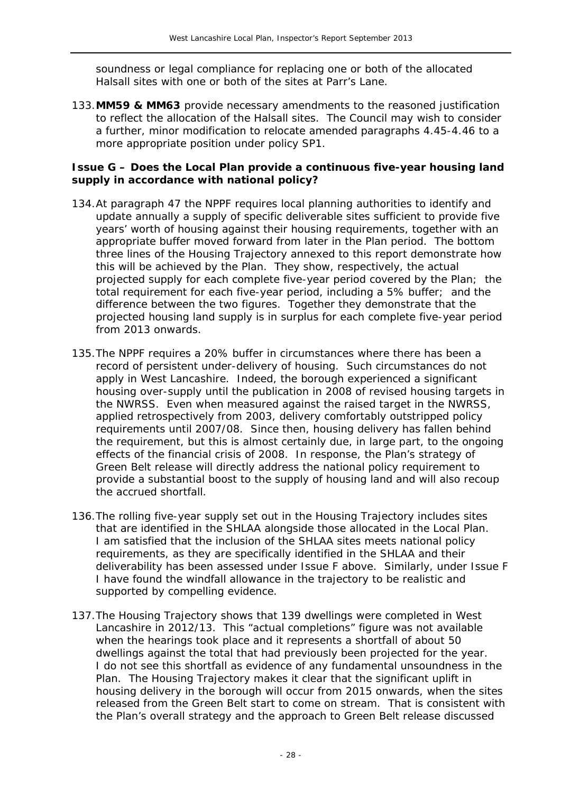soundness or legal compliance for replacing one or both of the allocated Halsall sites with one or both of the sites at Parr's Lane.

133.**MM59 & MM63** provide necessary amendments to the reasoned justification to reflect the allocation of the Halsall sites. The Council may wish to consider a further, minor modification to relocate amended paragraphs 4.45-4.46 to a more appropriate position under policy SP1.

#### **Issue G – Does the Local Plan provide a continuous five-year housing land supply in accordance with national policy?**

- 134.At paragraph 47 the NPPF requires local planning authorities to identify and update annually a supply of specific deliverable sites sufficient to provide five years' worth of housing against their housing requirements, together with an appropriate buffer moved forward from later in the Plan period. The bottom three lines of the Housing Trajectory annexed to this report demonstrate how this will be achieved by the Plan. They show, respectively, the actual projected supply for each complete five-year period covered by the Plan; the total requirement for each five-year period, including a 5% buffer; and the difference between the two figures. Together they demonstrate that the projected housing land supply is in surplus for each complete five-year period from 2013 onwards.
- 135.The NPPF requires a 20% buffer in circumstances where there has been a record of persistent under-delivery of housing. Such circumstances do not apply in West Lancashire. Indeed, the borough experienced a significant housing over-supply until the publication in 2008 of revised housing targets in the NWRSS. Even when measured against the raised target in the NWRSS, applied retrospectively from 2003, delivery comfortably outstripped policy requirements until 2007/08. Since then, housing delivery has fallen behind the requirement, but this is almost certainly due, in large part, to the ongoing effects of the financial crisis of 2008. In response, the Plan's strategy of Green Belt release will directly address the national policy requirement to provide a substantial boost to the supply of housing land and will also recoup the accrued shortfall.
- 136.The rolling five-year supply set out in the Housing Trajectory includes sites that are identified in the SHLAA alongside those allocated in the Local Plan. I am satisfied that the inclusion of the SHLAA sites meets national policy requirements, as they are specifically identified in the SHLAA and their deliverability has been assessed under Issue F above. Similarly, under Issue F I have found the windfall allowance in the trajectory to be realistic and supported by compelling evidence.
- 137.The Housing Trajectory shows that 139 dwellings were completed in West Lancashire in 2012/13. This "actual completions" figure was not available when the hearings took place and it represents a shortfall of about 50 dwellings against the total that had previously been projected for the year. I do not see this shortfall as evidence of any fundamental unsoundness in the Plan. The Housing Trajectory makes it clear that the significant uplift in housing delivery in the borough will occur from 2015 onwards, when the sites released from the Green Belt start to come on stream. That is consistent with the Plan's overall strategy and the approach to Green Belt release discussed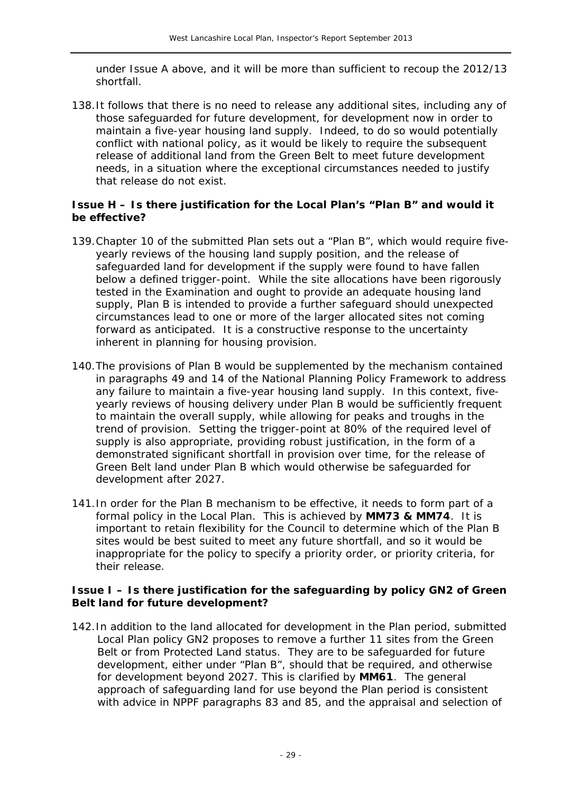under Issue A above, and it will be more than sufficient to recoup the 2012/13 shortfall.

138.It follows that there is no need to release any additional sites, including any of those safeguarded for future development, for development now in order to maintain a five-year housing land supply. Indeed, to do so would potentially conflict with national policy, as it would be likely to require the subsequent release of additional land from the Green Belt to meet future development needs, in a situation where the exceptional circumstances needed to justify that release do not exist.

#### **Issue H – Is there justification for the Local Plan's "Plan B" and would it be effective?**

- 139.Chapter 10 of the submitted Plan sets out a "Plan B", which would require fiveyearly reviews of the housing land supply position, and the release of safeguarded land for development if the supply were found to have fallen below a defined trigger-point. While the site allocations have been rigorously tested in the Examination and ought to provide an adequate housing land supply, Plan B is intended to provide a further safeguard should unexpected circumstances lead to one or more of the larger allocated sites not coming forward as anticipated. It is a constructive response to the uncertainty inherent in planning for housing provision.
- 140.The provisions of Plan B would be supplemented by the mechanism contained in paragraphs 49 and 14 of the *National Planning Policy Framework* to address any failure to maintain a five-year housing land supply. In this context, fiveyearly reviews of housing delivery under Plan B would be sufficiently frequent to maintain the overall supply, while allowing for peaks and troughs in the trend of provision. Setting the trigger-point at 80% of the required level of supply is also appropriate, providing robust justification, in the form of a demonstrated significant shortfall in provision over time, for the release of Green Belt land under Plan B which would otherwise be safeguarded for development after 2027.
- 141.In order for the Plan B mechanism to be effective, it needs to form part of a formal policy in the Local Plan. This is achieved by **MM73 & MM74**. It is important to retain flexibility for the Council to determine which of the Plan B sites would be best suited to meet any future shortfall, and so it would be inappropriate for the policy to specify a priority order, or priority criteria, for their release.

#### **Issue I – Is there justification for the safeguarding by policy GN2 of Green Belt land for future development?**

142.In addition to the land allocated for development in the Plan period, submitted Local Plan policy GN2 proposes to remove a further 11 sites from the Green Belt or from Protected Land status. They are to be safeguarded for future development, either under "Plan B", should that be required, and otherwise for development beyond 2027. This is clarified by **MM61**. The general approach of safeguarding land for use beyond the Plan period is consistent with advice in NPPF paragraphs 83 and 85, and the appraisal and selection of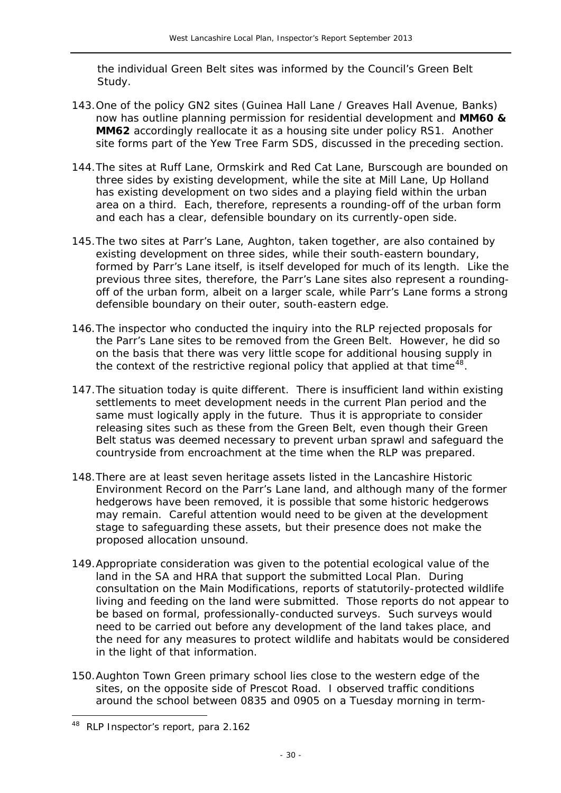the individual Green Belt sites was informed by the Council's *Green Belt Study*.

- 143.One of the policy GN2 sites (Guinea Hall Lane / Greaves Hall Avenue, Banks) now has outline planning permission for residential development and **MM60 & MM62** accordingly reallocate it as a housing site under policy RS1. Another site forms part of the Yew Tree Farm SDS, discussed in the preceding section.
- 144.The sites at Ruff Lane, Ormskirk and Red Cat Lane, Burscough are bounded on three sides by existing development, while the site at Mill Lane, Up Holland has existing development on two sides and a playing field within the urban area on a third. Each, therefore, represents a rounding-off of the urban form and each has a clear, defensible boundary on its currently-open side.
- 145.The two sites at Parr's Lane, Aughton, taken together, are also contained by existing development on three sides, while their south-eastern boundary, formed by Parr's Lane itself, is itself developed for much of its length. Like the previous three sites, therefore, the Parr's Lane sites also represent a roundingoff of the urban form, albeit on a larger scale, while Parr's Lane forms a strong defensible boundary on their outer, south-eastern edge.
- 146.The inspector who conducted the inquiry into the RLP rejected proposals for the Parr's Lane sites to be removed from the Green Belt. However, he did so on the basis that there was very little scope for additional housing supply in the context of the restrictive regional policy that applied at that time<sup>[48](#page-27-0)</sup>.
- 147.The situation today is quite different. There is insufficient land within existing settlements to meet development needs in the current Plan period and the same must logically apply in the future. Thus it is appropriate to consider releasing sites such as these from the Green Belt, even though their Green Belt status was deemed necessary to prevent urban sprawl and safeguard the countryside from encroachment at the time when the RLP was prepared.
- 148.There are at least seven heritage assets listed in the Lancashire Historic Environment Record on the Parr's Lane land, and although many of the former hedgerows have been removed, it is possible that some historic hedgerows may remain. Careful attention would need to be given at the development stage to safeguarding these assets, but their presence does not make the proposed allocation unsound.
- 149.Appropriate consideration was given to the potential ecological value of the land in the SA and HRA that support the submitted Local Plan. During consultation on the Main Modifications, reports of statutorily-protected wildlife living and feeding on the land were submitted. Those reports do not appear to be based on formal, professionally-conducted surveys. Such surveys would need to be carried out before any development of the land takes place, and the need for any measures to protect wildlife and habitats would be considered in the light of that information.
- 150.Aughton Town Green primary school lies close to the western edge of the sites, on the opposite side of Prescot Road. I observed traffic conditions around the school between 0835 and 0905 on a Tuesday morning in term-

 $\overline{a}$ 

<span id="page-30-0"></span><sup>&</sup>lt;sup>48</sup> RLP Inspector's report, para 2.162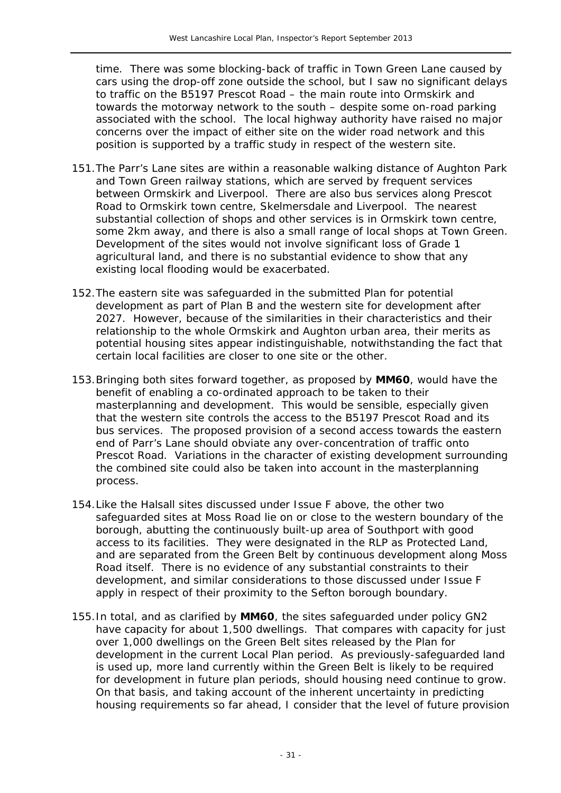time. There was some blocking-back of traffic in Town Green Lane caused by cars using the drop-off zone outside the school, but I saw no significant delays to traffic on the B5197 Prescot Road – the main route into Ormskirk and towards the motorway network to the south – despite some on-road parking associated with the school. The local highway authority have raised no major concerns over the impact of either site on the wider road network and this position is supported by a traffic study in respect of the western site.

- 151.The Parr's Lane sites are within a reasonable walking distance of Aughton Park and Town Green railway stations, which are served by frequent services between Ormskirk and Liverpool. There are also bus services along Prescot Road to Ormskirk town centre, Skelmersdale and Liverpool. The nearest substantial collection of shops and other services is in Ormskirk town centre, some 2km away, and there is also a small range of local shops at Town Green. Development of the sites would not involve significant loss of Grade 1 agricultural land, and there is no substantial evidence to show that any existing local flooding would be exacerbated.
- 152.The eastern site was safeguarded in the submitted Plan for potential development as part of Plan B and the western site for development after 2027. However, because of the similarities in their characteristics and their relationship to the whole Ormskirk and Aughton urban area, their merits as potential housing sites appear indistinguishable, notwithstanding the fact that certain local facilities are closer to one site or the other.
- 153.Bringing both sites forward together, as proposed by **MM60**, would have the benefit of enabling a co-ordinated approach to be taken to their masterplanning and development. This would be sensible, especially given that the western site controls the access to the B5197 Prescot Road and its bus services. The proposed provision of a second access towards the eastern end of Parr's Lane should obviate any over-concentration of traffic onto Prescot Road. Variations in the character of existing development surrounding the combined site could also be taken into account in the masterplanning process.
- 154.Like the Halsall sites discussed under Issue F above, the other two safeguarded sites at Moss Road lie on or close to the western boundary of the borough, abutting the continuously built-up area of Southport with good access to its facilities. They were designated in the RLP as Protected Land, and are separated from the Green Belt by continuous development along Moss Road itself. There is no evidence of any substantial constraints to their development, and similar considerations to those discussed under Issue F apply in respect of their proximity to the Sefton borough boundary.
- 155.In total, and as clarified by **MM60**, the sites safeguarded under policy GN2 have capacity for about 1,500 dwellings. That compares with capacity for just over 1,000 dwellings on the Green Belt sites released by the Plan for development in the current Local Plan period. As previously-safeguarded land is used up, more land currently within the Green Belt is likely to be required for development in future plan periods, should housing need continue to grow. On that basis, and taking account of the inherent uncertainty in predicting housing requirements so far ahead, I consider that the level of future provision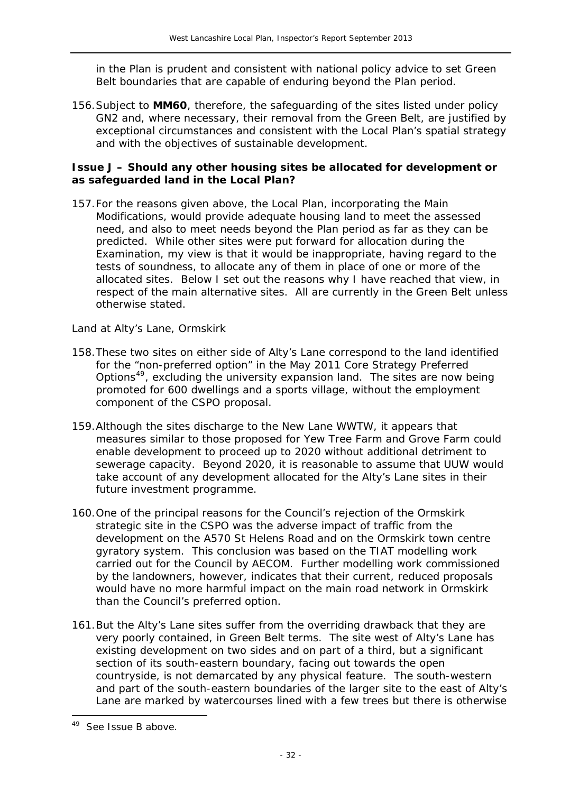in the Plan is prudent and consistent with national policy advice to set Green Belt boundaries that are capable of enduring beyond the Plan period.

156.Subject to **MM60**, therefore, the safeguarding of the sites listed under policy GN2 and, where necessary, their removal from the Green Belt, are justified by exceptional circumstances and consistent with the Local Plan's spatial strategy and with the objectives of sustainable development.

#### **Issue J – Should any other housing sites be allocated for development or as safeguarded land in the Local Plan?**

157.For the reasons given above, the Local Plan, incorporating the Main Modifications, would provide adequate housing land to meet the assessed need, and also to meet needs beyond the Plan period as far as they can be predicted. While other sites were put forward for allocation during the Examination, my view is that it would be inappropriate, having regard to the tests of soundness, to allocate any of them in place of one or more of the allocated sites. Below I set out the reasons why I have reached that view, in respect of the main alternative sites. All are currently in the Green Belt unless otherwise stated.

#### *Land at Alty's Lane, Ormskirk*

- 158.These two sites on either side of Alty's Lane correspond to the land identified for the "non-preferred option" in the May 2011 *Core Strategy Preferred Options*[49](#page-30-0), excluding the university expansion land. The sites are now being promoted for 600 dwellings and a sports village, without the employment component of the CSPO proposal.
- 159.Although the sites discharge to the New Lane WWTW, it appears that measures similar to those proposed for Yew Tree Farm and Grove Farm could enable development to proceed up to 2020 without additional detriment to sewerage capacity. Beyond 2020, it is reasonable to assume that UUW would take account of any development allocated for the Alty's Lane sites in their future investment programme.
- 160.One of the principal reasons for the Council's rejection of the Ormskirk strategic site in the CSPO was the adverse impact of traffic from the development on the A570 St Helens Road and on the Ormskirk town centre gyratory system. This conclusion was based on the TIAT modelling work carried out for the Council by AECOM. Further modelling work commissioned by the landowners, however, indicates that their current, reduced proposals would have no more harmful impact on the main road network in Ormskirk than the Council's preferred option.
- 161.But the Alty's Lane sites suffer from the overriding drawback that they are very poorly contained, in Green Belt terms. The site west of Alty's Lane has existing development on two sides and on part of a third, but a significant section of its south-eastern boundary, facing out towards the open countryside, is not demarcated by any physical feature. The south-western and part of the south-eastern boundaries of the larger site to the east of Alty's Lane are marked by watercourses lined with a few trees but there is otherwise

 $\overline{a}$ 

<span id="page-32-0"></span><sup>&</sup>lt;sup>49</sup> See Issue B above.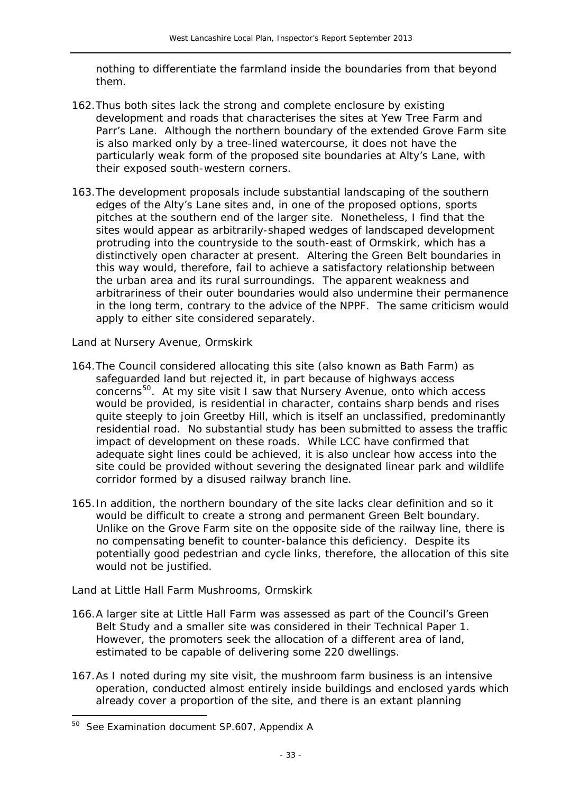nothing to differentiate the farmland inside the boundaries from that beyond them.

- 162.Thus both sites lack the strong and complete enclosure by existing development and roads that characterises the sites at Yew Tree Farm and Parr's Lane. Although the northern boundary of the extended Grove Farm site is also marked only by a tree-lined watercourse, it does not have the particularly weak form of the proposed site boundaries at Alty's Lane, with their exposed south-western corners.
- 163.The development proposals include substantial landscaping of the southern edges of the Alty's Lane sites and, in one of the proposed options, sports pitches at the southern end of the larger site. Nonetheless, I find that the sites would appear as arbitrarily-shaped wedges of landscaped development protruding into the countryside to the south-east of Ormskirk, which has a distinctively open character at present. Altering the Green Belt boundaries in this way would, therefore, fail to achieve a satisfactory relationship between the urban area and its rural surroundings. The apparent weakness and arbitrariness of their outer boundaries would also undermine their permanence in the long term, contrary to the advice of the NPPF. The same criticism would apply to either site considered separately.

#### *Land at Nursery Avenue, Ormskirk*

- 164.The Council considered allocating this site (also known as Bath Farm) as safeguarded land but rejected it, in part because of highways access concerns<sup>[50](#page-32-0)</sup>. At my site visit I saw that Nursery Avenue, onto which access would be provided, is residential in character, contains sharp bends and rises quite steeply to join Greetby Hill, which is itself an unclassified, predominantly residential road. No substantial study has been submitted to assess the traffic impact of development on these roads. While LCC have confirmed that adequate sight lines could be achieved, it is also unclear how access into the site could be provided without severing the designated linear park and wildlife corridor formed by a disused railway branch line.
- 165.In addition, the northern boundary of the site lacks clear definition and so it would be difficult to create a strong and permanent Green Belt boundary. Unlike on the Grove Farm site on the opposite side of the railway line, there is no compensating benefit to counter-balance this deficiency. Despite its potentially good pedestrian and cycle links, therefore, the allocation of this site would not be justified.

# *Land at Little Hall Farm Mushrooms, Ormskirk*

- 166.A larger site at Little Hall Farm was assessed as part of the Council's *Green Belt Study* and a smaller site was considered in their *Technical Paper 1*. However, the promoters seek the allocation of a different area of land, estimated to be capable of delivering some 220 dwellings.
- 167.As I noted during my site visit, the mushroom farm business is an intensive operation, conducted almost entirely inside buildings and enclosed yards which already cover a proportion of the site, and there is an extant planning

<span id="page-33-0"></span> $\overline{a}$ <sup>50</sup> See Examination document SP.607, Appendix A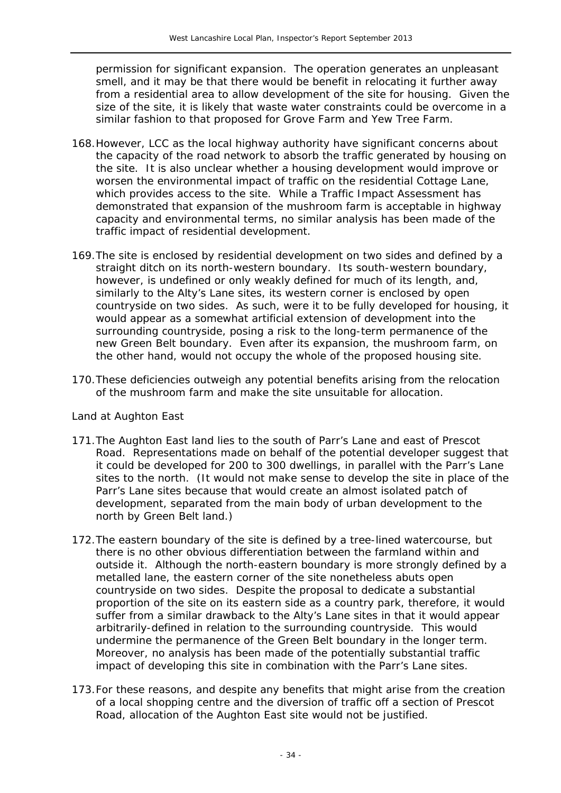permission for significant expansion. The operation generates an unpleasant smell, and it may be that there would be benefit in relocating it further away from a residential area to allow development of the site for housing. Given the size of the site, it is likely that waste water constraints could be overcome in a similar fashion to that proposed for Grove Farm and Yew Tree Farm.

- 168.However, LCC as the local highway authority have significant concerns about the capacity of the road network to absorb the traffic generated by housing on the site. It is also unclear whether a housing development would improve or worsen the environmental impact of traffic on the residential Cottage Lane, which provides access to the site. While a Traffic Impact Assessment has demonstrated that expansion of the mushroom farm is acceptable in highway capacity and environmental terms, no similar analysis has been made of the traffic impact of residential development.
- 169.The site is enclosed by residential development on two sides and defined by a straight ditch on its north-western boundary. Its south-western boundary, however, is undefined or only weakly defined for much of its length, and, similarly to the Alty's Lane sites, its western corner is enclosed by open countryside on two sides. As such, were it to be fully developed for housing, it would appear as a somewhat artificial extension of development into the surrounding countryside, posing a risk to the long-term permanence of the new Green Belt boundary. Even after its expansion, the mushroom farm, on the other hand, would not occupy the whole of the proposed housing site.
- 170.These deficiencies outweigh any potential benefits arising from the relocation of the mushroom farm and make the site unsuitable for allocation.

#### *Land at Aughton East*

- 171.The Aughton East land lies to the south of Parr's Lane and east of Prescot Road. Representations made on behalf of the potential developer suggest that it could be developed for 200 to 300 dwellings, in parallel with the Parr's Lane sites to the north. (It would not make sense to develop the site in place of the Parr's Lane sites because that would create an almost isolated patch of development, separated from the main body of urban development to the north by Green Belt land.)
- 172.The eastern boundary of the site is defined by a tree-lined watercourse, but there is no other obvious differentiation between the farmland within and outside it. Although the north-eastern boundary is more strongly defined by a metalled lane, the eastern corner of the site nonetheless abuts open countryside on two sides. Despite the proposal to dedicate a substantial proportion of the site on its eastern side as a country park, therefore, it would suffer from a similar drawback to the Alty's Lane sites in that it would appear arbitrarily-defined in relation to the surrounding countryside. This would undermine the permanence of the Green Belt boundary in the longer term. Moreover, no analysis has been made of the potentially substantial traffic impact of developing this site in combination with the Parr's Lane sites.
- 173.For these reasons, and despite any benefits that might arise from the creation of a local shopping centre and the diversion of traffic off a section of Prescot Road, allocation of the Aughton East site would not be justified.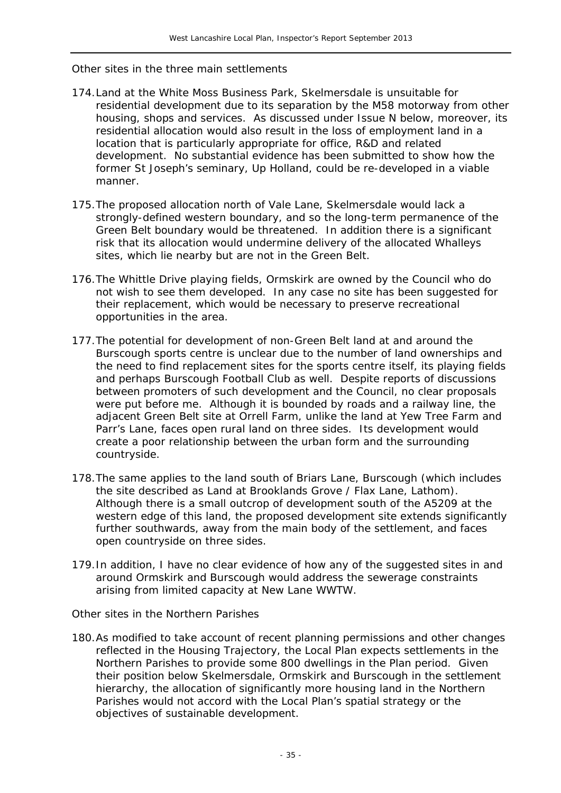#### *Other sites in the three main settlements*

- 174.Land at the White Moss Business Park, Skelmersdale is unsuitable for residential development due to its separation by the M58 motorway from other housing, shops and services. As discussed under Issue N below, moreover, its residential allocation would also result in the loss of employment land in a location that is particularly appropriate for office, R&D and related development. No substantial evidence has been submitted to show how the former St Joseph's seminary, Up Holland, could be re-developed in a viable manner.
- 175.The proposed allocation north of Vale Lane, Skelmersdale would lack a strongly-defined western boundary, and so the long-term permanence of the Green Belt boundary would be threatened. In addition there is a significant risk that its allocation would undermine delivery of the allocated Whalleys sites, which lie nearby but are not in the Green Belt.
- 176.The Whittle Drive playing fields, Ormskirk are owned by the Council who do not wish to see them developed. In any case no site has been suggested for their replacement, which would be necessary to preserve recreational opportunities in the area.
- 177.The potential for development of non-Green Belt land at and around the Burscough sports centre is unclear due to the number of land ownerships and the need to find replacement sites for the sports centre itself, its playing fields and perhaps Burscough Football Club as well. Despite reports of discussions between promoters of such development and the Council, no clear proposals were put before me. Although it is bounded by roads and a railway line, the adjacent Green Belt site at Orrell Farm, unlike the land at Yew Tree Farm and Parr's Lane, faces open rural land on three sides. Its development would create a poor relationship between the urban form and the surrounding countryside.
- 178.The same applies to the land south of Briars Lane, Burscough (which includes the site described as Land at Brooklands Grove / Flax Lane, Lathom). Although there is a small outcrop of development south of the A5209 at the western edge of this land, the proposed development site extends significantly further southwards, away from the main body of the settlement, and faces open countryside on three sides.
- 179.In addition, I have no clear evidence of how any of the suggested sites in and around Ormskirk and Burscough would address the sewerage constraints arising from limited capacity at New Lane WWTW.

#### *Other sites in the Northern Parishes*

180.As modified to take account of recent planning permissions and other changes reflected in the Housing Trajectory, the Local Plan expects settlements in the Northern Parishes to provide some 800 dwellings in the Plan period. Given their position below Skelmersdale, Ormskirk and Burscough in the settlement hierarchy, the allocation of significantly more housing land in the Northern Parishes would not accord with the Local Plan's spatial strategy or the objectives of sustainable development.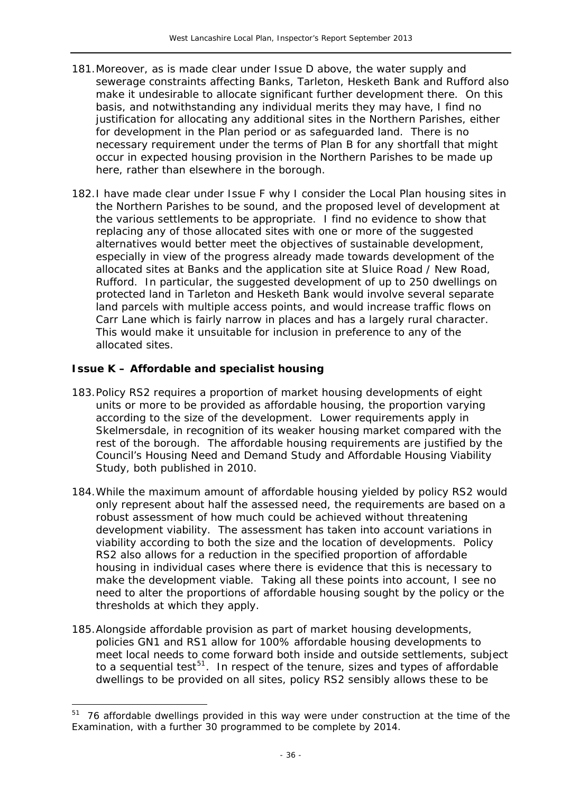- 181.Moreover, as is made clear under Issue D above, the water supply and sewerage constraints affecting Banks, Tarleton, Hesketh Bank and Rufford also make it undesirable to allocate significant further development there. On this basis, and notwithstanding any individual merits they may have, I find no justification for allocating any additional sites in the Northern Parishes, either for development in the Plan period or as safeguarded land. There is no necessary requirement under the terms of Plan B for any shortfall that might occur in expected housing provision in the Northern Parishes to be made up here, rather than elsewhere in the borough.
- 182.I have made clear under Issue F why I consider the Local Plan housing sites in the Northern Parishes to be sound, and the proposed level of development at the various settlements to be appropriate. I find no evidence to show that replacing any of those allocated sites with one or more of the suggested alternatives would better meet the objectives of sustainable development, especially in view of the progress already made towards development of the allocated sites at Banks and the application site at Sluice Road / New Road, Rufford. In particular, the suggested development of up to 250 dwellings on protected land in Tarleton and Hesketh Bank would involve several separate land parcels with multiple access points, and would increase traffic flows on Carr Lane which is fairly narrow in places and has a largely rural character. This would make it unsuitable for inclusion in preference to any of the allocated sites.

#### **Issue K – Affordable and specialist housing**

- 183.Policy RS2 requires a proportion of market housing developments of eight units or more to be provided as affordable housing, the proportion varying according to the size of the development. Lower requirements apply in Skelmersdale, in recognition of its weaker housing market compared with the rest of the borough. The affordable housing requirements are justified by the Council's *Housing Need and Demand Study* and *Affordable Housing Viability Study*, both published in 2010.
- 184.While the maximum amount of affordable housing yielded by policy RS2 would only represent about half the assessed need, the requirements are based on a robust assessment of how much could be achieved without threatening development viability. The assessment has taken into account variations in viability according to both the size and the location of developments. Policy RS2 also allows for a reduction in the specified proportion of affordable housing in individual cases where there is evidence that this is necessary to make the development viable. Taking all these points into account, I see no need to alter the proportions of affordable housing sought by the policy or the thresholds at which they apply.
- 185.Alongside affordable provision as part of market housing developments, policies GN1 and RS1 allow for 100% affordable housing developments to meet local needs to come forward both inside and outside settlements, subject to a sequential test<sup>[51](#page-33-0)</sup>. In respect of the tenure, sizes and types of affordable dwellings to be provided on all sites, policy RS2 sensibly allows these to be

<sup>&</sup>lt;sup>51</sup> 76 affordable dwellings provided in this way were under construction at the time of the Examination, with a further 30 programmed to be complete by 2014.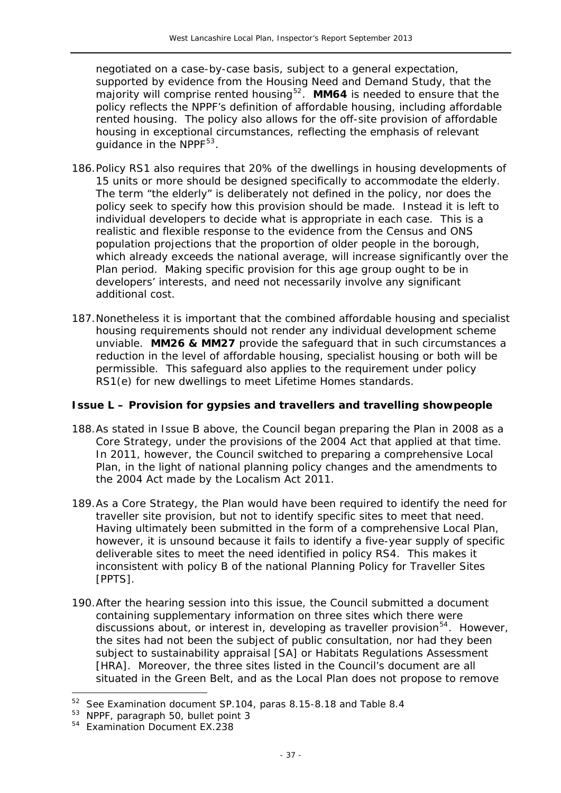negotiated on a case-by-case basis, subject to a general expectation, supported by evidence from the *Housing Need and Demand Study*, that the majority will comprise rented housing<sup>52</sup>. MM64 is needed to ensure that the policy reflects the NPPF's definition of affordable housing, including affordable rented housing. The policy also allows for the off-site provision of affordable housing in exceptional circumstances, reflecting the emphasis of relevant guidance in the NPPF<sup>53</sup>.

- 186.Policy RS1 also requires that 20% of the dwellings in housing developments of 15 units or more should be designed specifically to accommodate the elderly. The term "the elderly" is deliberately not defined in the policy, nor does the policy seek to specify how this provision should be made. Instead it is left to individual developers to decide what is appropriate in each case. This is a realistic and flexible response to the evidence from the Census and ONS population projections that the proportion of older people in the borough, which already exceeds the national average, will increase significantly over the Plan period. Making specific provision for this age group ought to be in developers' interests, and need not necessarily involve any significant additional cost.
- 187.Nonetheless it is important that the combined affordable housing and specialist housing requirements should not render any individual development scheme unviable. **MM26 & MM27** provide the safeguard that in such circumstances a reduction in the level of affordable housing, specialist housing or both will be permissible. This safeguard also applies to the requirement under policy RS1(e) for new dwellings to meet Lifetime Homes standards.

#### **Issue L – Provision for gypsies and travellers and travelling showpeople**

- 188.As stated in Issue B above, the Council began preparing the Plan in 2008 as a Core Strategy, under the provisions of the 2004 Act that applied at that time. In 2011, however, the Council switched to preparing a comprehensive Local Plan, in the light of national planning policy changes and the amendments to the 2004 Act made by the *Localism Act 2011*.
- 189.As a Core Strategy, the Plan would have been required to identify the need for traveller site provision, but not to identify specific sites to meet that need. Having ultimately been submitted in the form of a comprehensive Local Plan, however, it is unsound because it fails to identify a five-year supply of specific deliverable sites to meet the need identified in policy RS4. This makes it inconsistent with policy B of the national *Planning Policy for Traveller Sites*  [PPTS].
- 190.After the hearing session into this issue, the Council submitted a document containing supplementary information on three sites which there were discussions about, or interest in, developing as traveller provision<sup>[54](#page-37-0)</sup>. However, the sites had not been the subject of public consultation, nor had they been subject to sustainability appraisal [SA] or Habitats Regulations Assessment [HRA]. Moreover, the three sites listed in the Council's document are all situated in the Green Belt, and as the Local Plan does not propose to remove

-

<sup>52</sup> See Examination document SP.104, paras 8.15-8.18 and Table 8.4

<sup>53</sup> NPPF, paragraph 50, bullet point 3

<span id="page-37-0"></span><sup>54</sup> Examination Document EX.238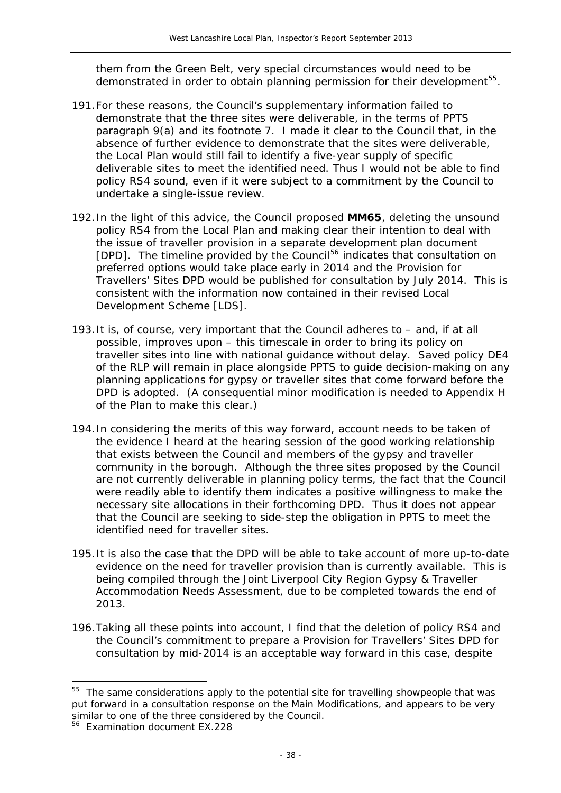them from the Green Belt, very special circumstances would need to be demonstrated in order to obtain planning permission for their development<sup>55</sup>.

- 191.For these reasons, the Council's supplementary information failed to demonstrate that the three sites were deliverable, in the terms of PPTS paragraph 9(a) and its footnote 7. I made it clear to the Council that, in the absence of further evidence to demonstrate that the sites were deliverable, the Local Plan would still fail to identify a five-year supply of specific deliverable sites to meet the identified need. Thus I would not be able to find policy RS4 sound, even if it were subject to a commitment by the Council to undertake a single-issue review.
- 192.In the light of this advice, the Council proposed **MM65**, deleting the unsound policy RS4 from the Local Plan and making clear their intention to deal with the issue of traveller provision in a separate development plan document [DPD]. The timeline provided by the Council[56](#page-38-0) indicates that consultation on preferred options would take place early in 2014 and the *Provision for Travellers' Sites* DPD would be published for consultation by July 2014. This is consistent with the information now contained in their revised *Local Development Scheme* [LDS].
- 193.It is, of course, very important that the Council adheres to and, if at all possible, improves upon – this timescale in order to bring its policy on traveller sites into line with national guidance without delay. Saved policy DE4 of the RLP will remain in place alongside PPTS to guide decision-making on any planning applications for gypsy or traveller sites that come forward before the DPD is adopted. (A consequential minor modification is needed to Appendix H of the Plan to make this clear.)
- 194.In considering the merits of this way forward, account needs to be taken of the evidence I heard at the hearing session of the good working relationship that exists between the Council and members of the gypsy and traveller community in the borough. Although the three sites proposed by the Council are not currently deliverable in planning policy terms, the fact that the Council were readily able to identify them indicates a positive willingness to make the necessary site allocations in their forthcoming DPD. Thus it does not appear that the Council are seeking to side-step the obligation in PPTS to meet the identified need for traveller sites.
- 195.It is also the case that the DPD will be able to take account of more up-to-date evidence on the need for traveller provision than is currently available. This is being compiled through the *Joint Liverpool City Region Gypsy & Traveller Accommodation Needs Assessment*, due to be completed towards the end of 2013.
- 196.Taking all these points into account, I find that the deletion of policy RS4 and the Council's commitment to prepare a *Provision for Travellers' Sites* DPD for consultation by mid-2014 is an acceptable way forward in this case, despite

<span id="page-38-1"></span><sup>&</sup>lt;sup>55</sup> The same considerations apply to the potential site for travelling showpeople that was put forward in a consultation response on the Main Modifications, and appears to be very similar to one of the three considered by the Council.

<span id="page-38-0"></span><sup>56</sup> Examination document EX.228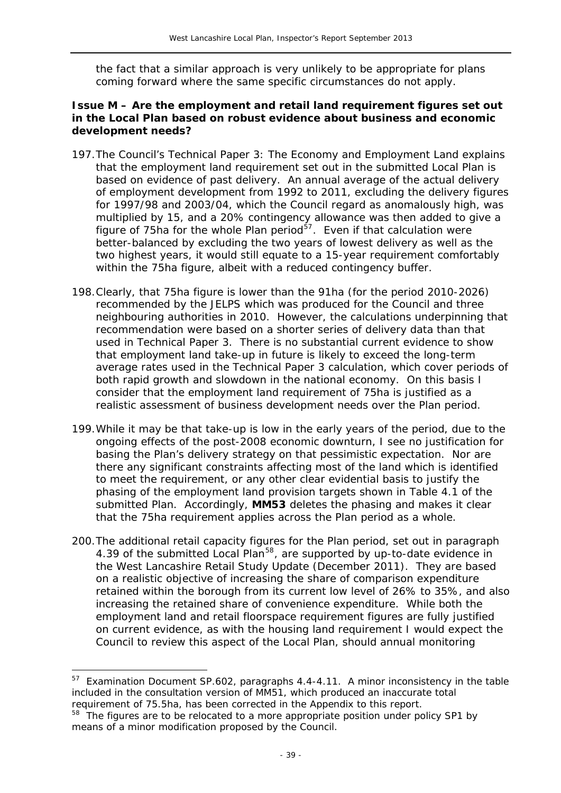the fact that a similar approach is very unlikely to be appropriate for plans coming forward where the same specific circumstances do not apply.

### **Issue M – Are the employment and retail land requirement figures set out in the Local Plan based on robust evidence about business and economic development needs?**

- 197.The Council's *Technical Paper 3: The Economy and Employment Land* explains that the employment land requirement set out in the submitted Local Plan is based on evidence of past delivery. An annual average of the actual delivery of employment development from 1992 to 2011, excluding the delivery figures for 1997/98 and 2003/04, which the Council regard as anomalously high, was multiplied by 15, and a 20% contingency allowance was then added to give a figure of 75ha for the whole Plan period $\overline{57}$  $\overline{57}$  $\overline{57}$ . Even if that calculation were better-balanced by excluding the two years of lowest delivery as well as the two highest years, it would still equate to a 15-year requirement comfortably within the 75ha figure, albeit with a reduced contingency buffer.
- 198.Clearly, that 75ha figure is lower than the 91ha (for the period 2010-2026) recommended by the JELPS which was produced for the Council and three neighbouring authorities in 2010. However, the calculations underpinning that recommendation were based on a shorter series of delivery data than that used in *Technical Paper 3*. There is no substantial current evidence to show that employment land take-up in future is likely to exceed the long-term average rates used in the *Technical Paper 3* calculation, which cover periods of both rapid growth and slowdown in the national economy. On this basis I consider that the employment land requirement of 75ha is justified as a realistic assessment of business development needs over the Plan period.
- 199.While it may be that take-up is low in the early years of the period, due to the ongoing effects of the post-2008 economic downturn, I see no justification for basing the Plan's delivery strategy on that pessimistic expectation. Nor are there any significant constraints affecting most of the land which is identified to meet the requirement, or any other clear evidential basis to justify the phasing of the employment land provision targets shown in Table 4.1 of the submitted Plan. Accordingly, **MM53** deletes the phasing and makes it clear that the 75ha requirement applies across the Plan period as a whole.
- 200.The additional retail capacity figures for the Plan period, set out in paragraph 4.39 of the submitted Local Plan<sup>[58](#page-39-0)</sup>, are supported by up-to-date evidence in the *West Lancashire Retail Study Update* (December 2011). They are based on a realistic objective of increasing the share of comparison expenditure retained within the borough from its current low level of 26% to 35%, and also increasing the retained share of convenience expenditure. While both the employment land and retail floorspace requirement figures are fully justified on current evidence, as with the housing land requirement I would expect the Council to review this aspect of the Local Plan, should annual monitoring

Examination Document SP.602, paragraphs 4.4-4.11. A minor inconsistency in the table included in the consultation version of MM51, which produced an inaccurate total requirement of 75.5ha, has been corrected in the Appendix to this report.

<span id="page-39-1"></span><span id="page-39-0"></span> $58$  The figures are to be relocated to a more appropriate position under policy SP1 by means of a minor modification proposed by the Council.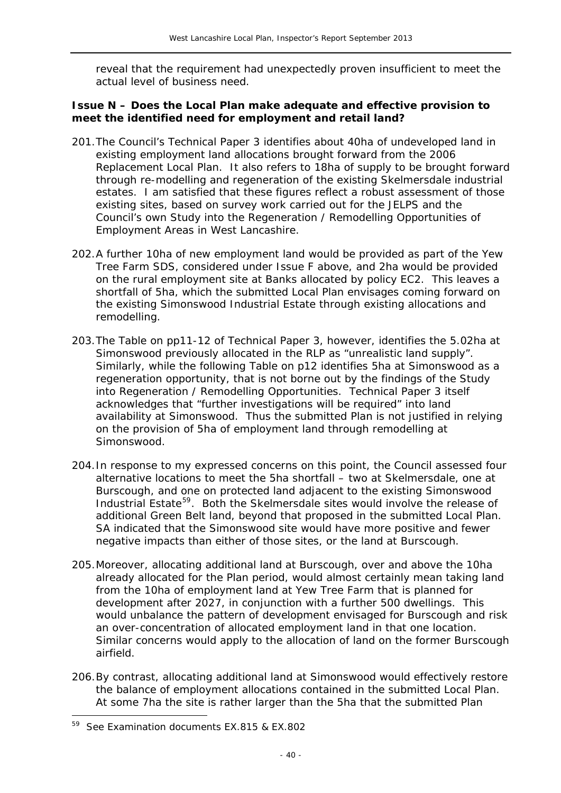reveal that the requirement had unexpectedly proven insufficient to meet the actual level of business need.

### **Issue N – Does the Local Plan make adequate and effective provision to meet the identified need for employment and retail land?**

- 201.The Council's *Technical Paper 3* identifies about 40ha of undeveloped land in existing employment land allocations brought forward from the 2006 *Replacement Local Plan*. It also refers to 18ha of supply to be brought forward through re-modelling and regeneration of the existing Skelmersdale industrial estates. I am satisfied that these figures reflect a robust assessment of those existing sites, based on survey work carried out for the JELPS and the Council's own *Study into the Regeneration / Remodelling Opportunities of Employment Areas in West Lancashire*.
- 202.A further 10ha of new employment land would be provided as part of the Yew Tree Farm SDS, considered under Issue F above, and 2ha would be provided on the rural employment site at Banks allocated by policy EC2. This leaves a shortfall of 5ha, which the submitted Local Plan envisages coming forward on the existing Simonswood Industrial Estate through existing allocations and remodelling.
- 203.The Table on pp11-12 of *Technical Paper 3*, however, identifies the 5.02ha at Simonswood previously allocated in the RLP as "unrealistic land supply". Similarly, while the following Table on p12 identifies 5ha at Simonswood as a regeneration opportunity, that is not borne out by the findings of the *Study into Regeneration / Remodelling Opportunities*. *Technical Paper 3* itself acknowledges that "further investigations will be required" into land availability at Simonswood. Thus the submitted Plan is not justified in relying on the provision of 5ha of employment land through remodelling at Simonswood.
- 204.In response to my expressed concerns on this point, the Council assessed four alternative locations to meet the 5ha shortfall – two at Skelmersdale, one at Burscough, and one on protected land adjacent to the existing Simonswood Industrial Estate<sup>[59](#page-39-1)</sup>. Both the Skelmersdale sites would involve the release of additional Green Belt land, beyond that proposed in the submitted Local Plan. SA indicated that the Simonswood site would have more positive and fewer negative impacts than either of those sites, or the land at Burscough.
- 205.Moreover, allocating additional land at Burscough, over and above the 10ha already allocated for the Plan period, would almost certainly mean taking land from the 10ha of employment land at Yew Tree Farm that is planned for development after 2027, in conjunction with a further 500 dwellings. This would unbalance the pattern of development envisaged for Burscough and risk an over-concentration of allocated employment land in that one location. Similar concerns would apply to the allocation of land on the former Burscough airfield.
- 206.By contrast, allocating additional land at Simonswood would effectively restore the balance of employment allocations contained in the submitted Local Plan. At some 7ha the site is rather larger than the 5ha that the submitted Plan

 $\overline{a}$ 

<span id="page-40-0"></span><sup>59</sup> See Examination documents EX.815 & EX.802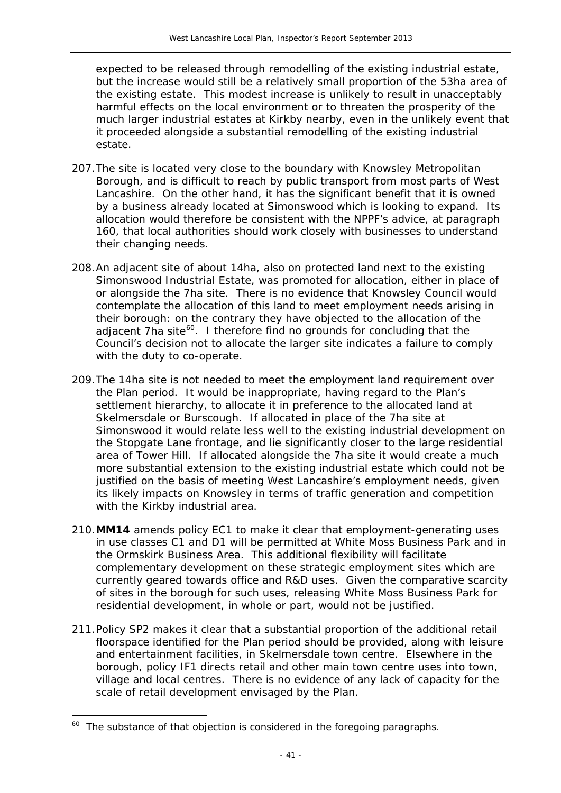expected to be released through remodelling of the existing industrial estate, but the increase would still be a relatively small proportion of the 53ha area of the existing estate. This modest increase is unlikely to result in unacceptably harmful effects on the local environment or to threaten the prosperity of the much larger industrial estates at Kirkby nearby, even in the unlikely event that it proceeded alongside a substantial remodelling of the existing industrial estate.

- 207.The site is located very close to the boundary with Knowsley Metropolitan Borough, and is difficult to reach by public transport from most parts of West Lancashire. On the other hand, it has the significant benefit that it is owned by a business already located at Simonswood which is looking to expand. Its allocation would therefore be consistent with the NPPF's advice, at paragraph 160, that local authorities should work closely with businesses to understand their changing needs.
- 208.An adjacent site of about 14ha, also on protected land next to the existing Simonswood Industrial Estate, was promoted for allocation, either in place of or alongside the 7ha site. There is no evidence that Knowsley Council would contemplate the allocation of this land to meet employment needs arising in their borough: on the contrary they have objected to the allocation of the adjacent 7ha site<sup>[60](#page-40-0)</sup>. I therefore find no grounds for concluding that the Council's decision not to allocate the larger site indicates a failure to comply with the duty to co-operate.
- 209.The 14ha site is not needed to meet the employment land requirement over the Plan period. It would be inappropriate, having regard to the Plan's settlement hierarchy, to allocate it in preference to the allocated land at Skelmersdale or Burscough. If allocated in place of the 7ha site at Simonswood it would relate less well to the existing industrial development on the Stopgate Lane frontage, and lie significantly closer to the large residential area of Tower Hill. If allocated alongside the 7ha site it would create a much more substantial extension to the existing industrial estate which could not be justified on the basis of meeting West Lancashire's employment needs, given its likely impacts on Knowsley in terms of traffic generation and competition with the Kirkby industrial area.
- 210.**MM14** amends policy EC1 to make it clear that employment-generating uses in use classes C1 and D1 will be permitted at White Moss Business Park and in the Ormskirk Business Area. This additional flexibility will facilitate complementary development on these strategic employment sites which are currently geared towards office and R&D uses. Given the comparative scarcity of sites in the borough for such uses, releasing White Moss Business Park for residential development, in whole or part, would not be justified.
- 211.Policy SP2 makes it clear that a substantial proportion of the additional retail floorspace identified for the Plan period should be provided, along with leisure and entertainment facilities, in Skelmersdale town centre. Elsewhere in the borough, policy IF1 directs retail and other main town centre uses into town, village and local centres. There is no evidence of any lack of capacity for the scale of retail development envisaged by the Plan.

 $\overline{a}$ 

<span id="page-41-0"></span> $60$  The substance of that objection is considered in the foregoing paragraphs.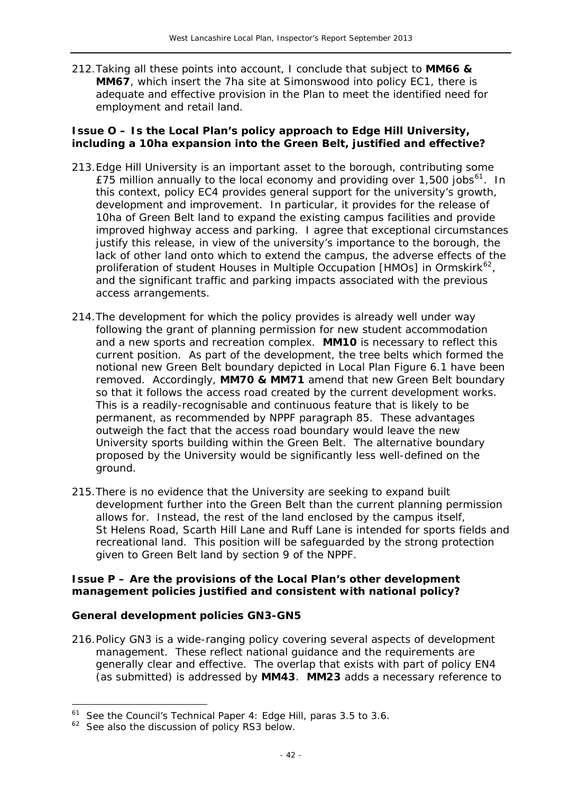212.Taking all these points into account, I conclude that subject to **MM66 & MM67**, which insert the 7ha site at Simonswood into policy EC1, there is adequate and effective provision in the Plan to meet the identified need for employment and retail land.

#### **Issue O – Is the Local Plan's policy approach to Edge Hill University, including a 10ha expansion into the Green Belt, justified and effective?**

- 213.Edge Hill University is an important asset to the borough, contributing some £75 million annually to the local economy and providing over 1,500 jobs<sup>[61](#page-41-0)</sup>. In this context, policy EC4 provides general support for the university's growth, development and improvement. In particular, it provides for the release of 10ha of Green Belt land to expand the existing campus facilities and provide improved highway access and parking. I agree that exceptional circumstances justify this release, in view of the university's importance to the borough, the lack of other land onto which to extend the campus, the adverse effects of the proliferation of student Houses in Multiple Occupation [HMOs] in Ormskirk $^{62}$  $^{62}$  $^{62}$ , and the significant traffic and parking impacts associated with the previous access arrangements.
- 214.The development for which the policy provides is already well under way following the grant of planning permission for new student accommodation and a new sports and recreation complex. **MM10** is necessary to reflect this current position. As part of the development, the tree belts which formed the notional new Green Belt boundary depicted in Local Plan Figure 6.1 have been removed. Accordingly, **MM70 & MM71** amend that new Green Belt boundary so that it follows the access road created by the current development works. This is a readily-recognisable and continuous feature that is likely to be permanent, as recommended by NPPF paragraph 85. These advantages outweigh the fact that the access road boundary would leave the new University sports building within the Green Belt. The alternative boundary proposed by the University would be significantly less well-defined on the ground.
- 215.There is no evidence that the University are seeking to expand built development further into the Green Belt than the current planning permission allows for. Instead, the rest of the land enclosed by the campus itself, St Helens Road, Scarth Hill Lane and Ruff Lane is intended for sports fields and recreational land. This position will be safeguarded by the strong protection given to Green Belt land by section 9 of the NPPF.

#### **Issue P – Are the provisions of the Local Plan's other development management policies justified and consistent with national policy?**

#### *General development policies GN3-GN5*

216.Policy GN3 is a wide-ranging policy covering several aspects of development management. These reflect national guidance and the requirements are generally clear and effective. The overlap that exists with part of policy EN4 (as submitted) is addressed by **MM43**. **MM23** adds a necessary reference to

<span id="page-42-1"></span><sup>61</sup> See the Council's *Technical Paper 4: Edge Hill*, paras 3.5 to 3.6.

<span id="page-42-0"></span> $62$  See also the discussion of policy RS3 below.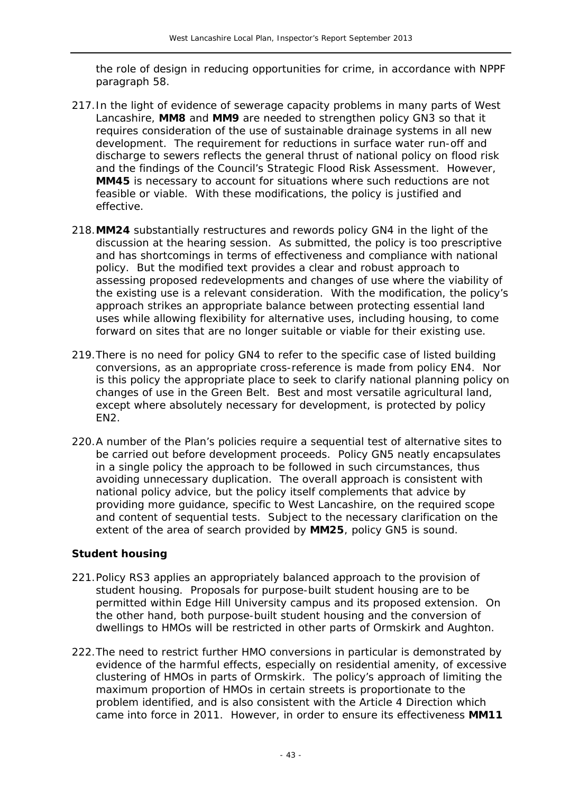the role of design in reducing opportunities for crime, in accordance with NPPF paragraph 58.

- 217.In the light of evidence of sewerage capacity problems in many parts of West Lancashire, **MM8** and **MM9** are needed to strengthen policy GN3 so that it requires consideration of the use of sustainable drainage systems in all new development. The requirement for reductions in surface water run-off and discharge to sewers reflects the general thrust of national policy on flood risk and the findings of the Council's *Strategic Flood Risk Assessment*. However, **MM45** is necessary to account for situations where such reductions are not feasible or viable. With these modifications, the policy is justified and effective.
- 218.**MM24** substantially restructures and rewords policy GN4 in the light of the discussion at the hearing session. As submitted, the policy is too prescriptive and has shortcomings in terms of effectiveness and compliance with national policy. But the modified text provides a clear and robust approach to assessing proposed redevelopments and changes of use where the viability of the existing use is a relevant consideration. With the modification, the policy's approach strikes an appropriate balance between protecting essential land uses while allowing flexibility for alternative uses, including housing, to come forward on sites that are no longer suitable or viable for their existing use.
- 219.There is no need for policy GN4 to refer to the specific case of listed building conversions, as an appropriate cross-reference is made from policy EN4. Nor is this policy the appropriate place to seek to clarify national planning policy on changes of use in the Green Belt. Best and most versatile agricultural land, except where absolutely necessary for development, is protected by policy EN2.
- 220.A number of the Plan's policies require a sequential test of alternative sites to be carried out before development proceeds. Policy GN5 neatly encapsulates in a single policy the approach to be followed in such circumstances, thus avoiding unnecessary duplication. The overall approach is consistent with national policy advice, but the policy itself complements that advice by providing more guidance, specific to West Lancashire, on the required scope and content of sequential tests. Subject to the necessary clarification on the extent of the area of search provided by **MM25**, policy GN5 is sound.

#### *Student housing*

- 221.Policy RS3 applies an appropriately balanced approach to the provision of student housing. Proposals for purpose-built student housing are to be permitted within Edge Hill University campus and its proposed extension. On the other hand, both purpose-built student housing and the conversion of dwellings to HMOs will be restricted in other parts of Ormskirk and Aughton.
- 222.The need to restrict further HMO conversions in particular is demonstrated by evidence of the harmful effects, especially on residential amenity, of excessive clustering of HMOs in parts of Ormskirk. The policy's approach of limiting the maximum proportion of HMOs in certain streets is proportionate to the problem identified, and is also consistent with the Article 4 Direction which came into force in 2011. However, in order to ensure its effectiveness **MM11**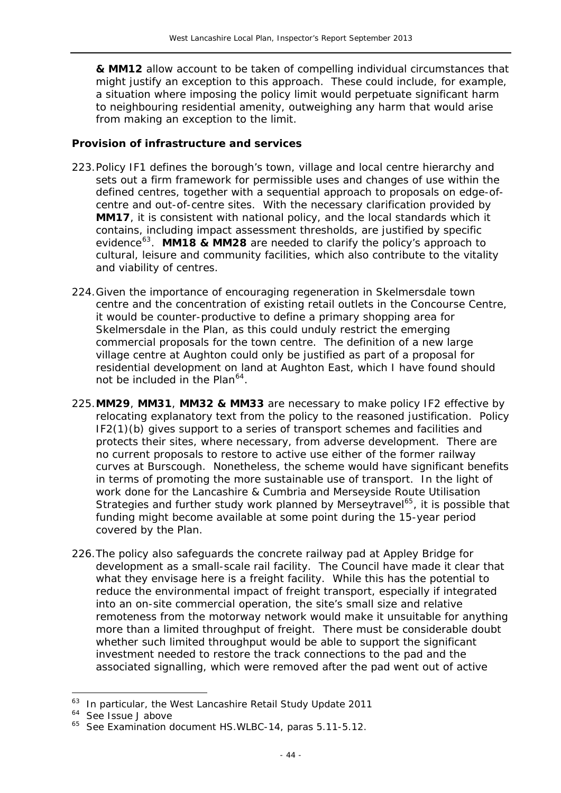**& MM12** allow account to be taken of compelling individual circumstances that might justify an exception to this approach. These could include, for example, a situation where imposing the policy limit would perpetuate significant harm to neighbouring residential amenity, outweighing any harm that would arise from making an exception to the limit.

# *Provision of infrastructure and services*

- 223.Policy IF1 defines the borough's town, village and local centre hierarchy and sets out a firm framework for permissible uses and changes of use within the defined centres, together with a sequential approach to proposals on edge-ofcentre and out-of-centre sites. With the necessary clarification provided by **MM17**, it is consistent with national policy, and the local standards which it contains, including impact assessment thresholds, are justified by specific evidence[63](#page-42-1). **MM18 & MM28** are needed to clarify the policy's approach to cultural, leisure and community facilities, which also contribute to the vitality and viability of centres.
- 224.Given the importance of encouraging regeneration in Skelmersdale town centre and the concentration of existing retail outlets in the Concourse Centre, it would be counter-productive to define a primary shopping area for Skelmersdale in the Plan, as this could unduly restrict the emerging commercial proposals for the town centre. The definition of a new large village centre at Aughton could only be justified as part of a proposal for residential development on land at Aughton East, which I have found should not be included in the Plan $^{64}$  $^{64}$  $^{64}$ .
- 225.**MM29**, **MM31**, **MM32 & MM33** are necessary to make policy IF2 effective by relocating explanatory text from the policy to the reasoned justification. Policy IF2(1)(b) gives support to a series of transport schemes and facilities and protects their sites, where necessary, from adverse development. There are no current proposals to restore to active use either of the former railway curves at Burscough. Nonetheless, the scheme would have significant benefits in terms of promoting the more sustainable use of transport. In the light of work done for the Lancashire & Cumbria and Merseyside Route Utilisation Strategies and further study work planned by Merseytravel<sup>[65](#page-44-1)</sup>, it is possible that funding might become available at some point during the 15-year period covered by the Plan.
- 226.The policy also safeguards the concrete railway pad at Appley Bridge for development as a small-scale rail facility. The Council have made it clear that what they envisage here is a freight facility. While this has the potential to reduce the environmental impact of freight transport, especially if integrated into an on-site commercial operation, the site's small size and relative remoteness from the motorway network would make it unsuitable for anything more than a limited throughput of freight. There must be considerable doubt whether such limited throughput would be able to support the significant investment needed to restore the track connections to the pad and the associated signalling, which were removed after the pad went out of active

-

<sup>63</sup> In particular, the *West Lancashire Retail Study Update 2011*

<span id="page-44-0"></span><sup>&</sup>lt;sup>64</sup> See Issue J above

<span id="page-44-1"></span><sup>&</sup>lt;sup>65</sup> See Examination document HS.WLBC-14, paras 5.11-5.12.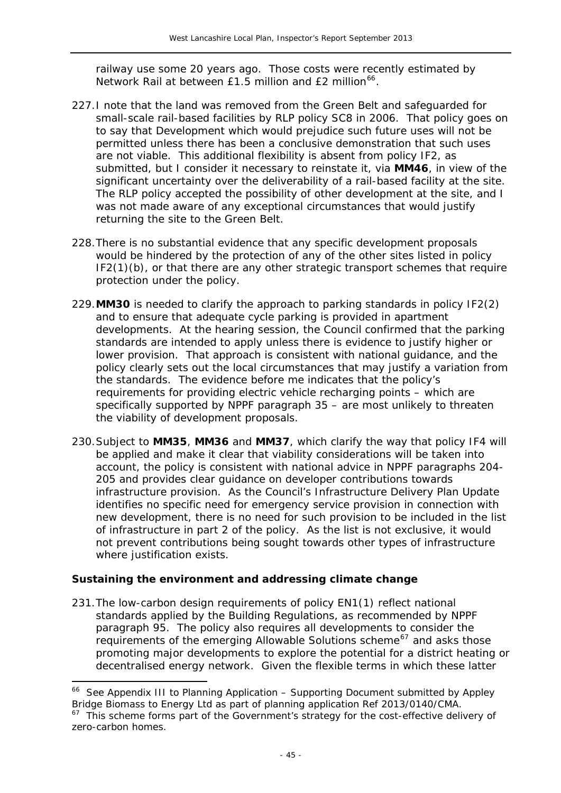railway use some 20 years ago. Those costs were recently estimated by Network Rail at between  $£1.5$  million and  $£2$  million<sup>66</sup>.

- 227.I note that the land was removed from the Green Belt and safeguarded for small-scale rail-based facilities by RLP policy SC8 in 2006. That policy goes on to say that *Development which would prejudice such future uses will not be permitted unless there has been a conclusive demonstration that such uses are not viable.* This additional flexibility is absent from policy IF2, as submitted, but I consider it necessary to reinstate it, via **MM46**, in view of the significant uncertainty over the deliverability of a rail-based facility at the site. The RLP policy accepted the possibility of other development at the site, and I was not made aware of any exceptional circumstances that would justify returning the site to the Green Belt.
- 228.There is no substantial evidence that any specific development proposals would be hindered by the protection of any of the other sites listed in policy IF2(1)(b), or that there are any other strategic transport schemes that require protection under the policy.
- 229.**MM30** is needed to clarify the approach to parking standards in policy IF2(2) and to ensure that adequate cycle parking is provided in apartment developments. At the hearing session, the Council confirmed that the parking standards are intended to apply unless there is evidence to justify higher or lower provision. That approach is consistent with national guidance, and the policy clearly sets out the local circumstances that may justify a variation from the standards. The evidence before me indicates that the policy's requirements for providing electric vehicle recharging points – which are specifically supported by NPPF paragraph 35 – are most unlikely to threaten the viability of development proposals.
- 230.Subject to **MM35**, **MM36** and **MM37**, which clarify the way that policy IF4 will be applied and make it clear that viability considerations will be taken into account, the policy is consistent with national advice in NPPF paragraphs 204- 205 and provides clear guidance on developer contributions towards infrastructure provision. As the Council's *Infrastructure Delivery Plan Update* identifies no specific need for emergency service provision in connection with new development, there is no need for such provision to be included in the list of infrastructure in part 2 of the policy. As the list is not exclusive, it would not prevent contributions being sought towards other types of infrastructure where justification exists.

#### *Sustaining the environment and addressing climate change*

j

231.The low-carbon design requirements of policy EN1(1) reflect national standards applied by the Building Regulations, as recommended by NPPF paragraph 95. The policy also requires all developments to consider the requirements of the emerging *Allowable Solutions* scheme<sup>[67](#page-45-0)</sup> and asks those promoting major developments to explore the potential for a district heating or decentralised energy network. Given the flexible terms in which these latter

<sup>66</sup> See Appendix III to *Planning Application – Supporting Document* submitted by Appley Bridge Biomass to Energy Ltd as part of planning application Ref 2013/0140/CMA.

<span id="page-45-0"></span> $67$  This scheme forms part of the Government's strategy for the cost-effective delivery of zero-carbon homes.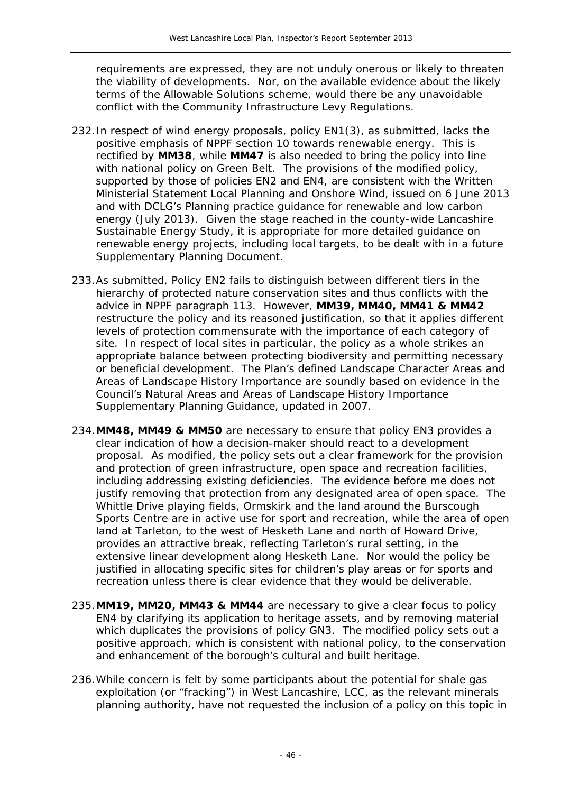requirements are expressed, they are not unduly onerous or likely to threaten the viability of developments. Nor, on the available evidence about the likely terms of the *Allowable Solutions* scheme, would there be any unavoidable conflict with the *Community Infrastructure Levy Regulations*.

- 232.In respect of wind energy proposals, policy EN1(3), as submitted, lacks the positive emphasis of NPPF section 10 towards renewable energy. This is rectified by **MM38**, while **MM47** is also needed to bring the policy into line with national policy on Green Belt. The provisions of the modified policy, supported by those of policies EN2 and EN4, are consistent with the Written Ministerial Statement *Local Planning and Onshore Wind*, issued on 6 June 2013 and with DCLG's *Planning practice guidance for renewable and low carbon energy* (July 2013). Given the stage reached in the county-wide *Lancashire Sustainable Energy Study*, it is appropriate for more detailed guidance on renewable energy projects, including local targets, to be dealt with in a future Supplementary Planning Document.
- 233.As submitted, Policy EN2 fails to distinguish between different tiers in the hierarchy of protected nature conservation sites and thus conflicts with the advice in NPPF paragraph 113. However, **MM39, MM40, MM41 & MM42** restructure the policy and its reasoned justification, so that it applies different levels of protection commensurate with the importance of each category of site. In respect of local sites in particular, the policy as a whole strikes an appropriate balance between protecting biodiversity and permitting necessary or beneficial development. The Plan's defined Landscape Character Areas and Areas of Landscape History Importance are soundly based on evidence in the Council's *Natural Areas and Areas of Landscape History Importance* Supplementary Planning Guidance, updated in 2007.
- 234.**MM48, MM49 & MM50** are necessary to ensure that policy EN3 provides a clear indication of how a decision-maker should react to a development proposal. As modified, the policy sets out a clear framework for the provision and protection of green infrastructure, open space and recreation facilities, including addressing existing deficiencies. The evidence before me does not justify removing that protection from any designated area of open space. The Whittle Drive playing fields, Ormskirk and the land around the Burscough Sports Centre are in active use for sport and recreation, while the area of open land at Tarleton, to the west of Hesketh Lane and north of Howard Drive, provides an attractive break, reflecting Tarleton's rural setting, in the extensive linear development along Hesketh Lane. Nor would the policy be justified in allocating specific sites for children's play areas or for sports and recreation unless there is clear evidence that they would be deliverable.
- 235.**MM19, MM20, MM43 & MM44** are necessary to give a clear focus to policy EN4 by clarifying its application to heritage assets, and by removing material which duplicates the provisions of policy GN3. The modified policy sets out a positive approach, which is consistent with national policy, to the conservation and enhancement of the borough's cultural and built heritage.
- 236.While concern is felt by some participants about the potential for shale gas exploitation (or "fracking") in West Lancashire, LCC, as the relevant minerals planning authority, have not requested the inclusion of a policy on this topic in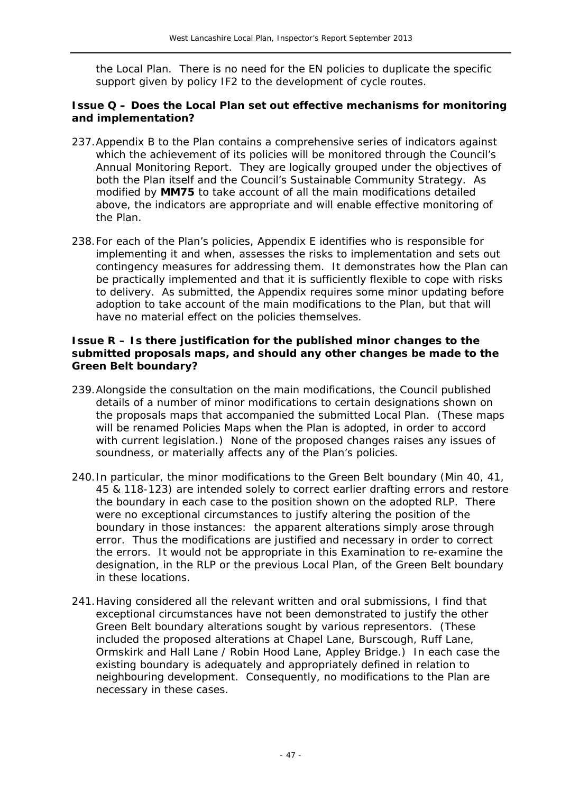the Local Plan. There is no need for the EN policies to duplicate the specific support given by policy IF2 to the development of cycle routes.

#### **Issue Q – Does the Local Plan set out effective mechanisms for monitoring and implementation?**

- 237.Appendix B to the Plan contains a comprehensive series of indicators against which the achievement of its policies will be monitored through the Council's Annual Monitoring Report. They are logically grouped under the objectives of both the Plan itself and the Council's *Sustainable Community Strategy*. As modified by **MM75** to take account of all the main modifications detailed above, the indicators are appropriate and will enable effective monitoring of the Plan.
- 238.For each of the Plan's policies, Appendix E identifies who is responsible for implementing it and when, assesses the risks to implementation and sets out contingency measures for addressing them. It demonstrates how the Plan can be practically implemented and that it is sufficiently flexible to cope with risks to delivery. As submitted, the Appendix requires some minor updating before adoption to take account of the main modifications to the Plan, but that will have no material effect on the policies themselves.

#### **Issue R – Is there justification for the published minor changes to the submitted proposals maps, and should any other changes be made to the Green Belt boundary?**

- 239.Alongside the consultation on the main modifications, the Council published details of a number of minor modifications to certain designations shown on the proposals maps that accompanied the submitted Local Plan. (These maps will be renamed Policies Maps when the Plan is adopted, in order to accord with current legislation.) None of the proposed changes raises any issues of soundness, or materially affects any of the Plan's policies.
- 240.In particular, the minor modifications to the Green Belt boundary (Min 40, 41, 45 & 118-123) are intended solely to correct earlier drafting errors and restore the boundary in each case to the position shown on the adopted RLP. There were no exceptional circumstances to justify altering the position of the boundary in those instances: the apparent alterations simply arose through error. Thus the modifications are justified and necessary in order to correct the errors. It would not be appropriate in this Examination to re-examine the designation, in the RLP or the previous Local Plan, of the Green Belt boundary in these locations.
- 241.Having considered all the relevant written and oral submissions, I find that exceptional circumstances have not been demonstrated to justify the other Green Belt boundary alterations sought by various representors. (These included the proposed alterations at Chapel Lane, Burscough, Ruff Lane, Ormskirk and Hall Lane / Robin Hood Lane, Appley Bridge.) In each case the existing boundary is adequately and appropriately defined in relation to neighbouring development. Consequently, no modifications to the Plan are necessary in these cases.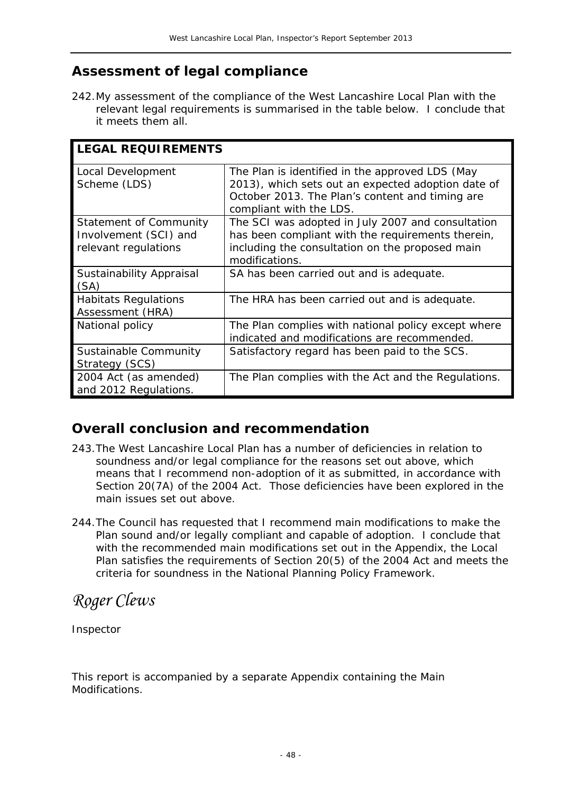# **Assessment of legal compliance**

242.My assessment of the compliance of the West Lancashire Local Plan with the relevant legal requirements is summarised in the table below. I conclude that it meets them all.

| <b>LEGAL REQUIREMENTS</b>                                                      |                                                                                                                                                                                     |
|--------------------------------------------------------------------------------|-------------------------------------------------------------------------------------------------------------------------------------------------------------------------------------|
| Local Development<br>Scheme (LDS)                                              | The Plan is identified in the approved LDS (May<br>2013), which sets out an expected adoption date of<br>October 2013. The Plan's content and timing are<br>compliant with the LDS. |
| <b>Statement of Community</b><br>Involvement (SCI) and<br>relevant regulations | The SCI was adopted in July 2007 and consultation<br>has been compliant with the requirements therein,<br>including the consultation on the proposed main<br>modifications.         |
| Sustainability Appraisal<br>(SA)                                               | SA has been carried out and is adequate.                                                                                                                                            |
| <b>Habitats Regulations</b><br>Assessment (HRA)                                | The HRA has been carried out and is adequate.                                                                                                                                       |
| National policy                                                                | The Plan complies with national policy except where<br>indicated and modifications are recommended.                                                                                 |
| Sustainable Community<br>Strategy (SCS)                                        | Satisfactory regard has been paid to the SCS.                                                                                                                                       |
| 2004 Act (as amended)<br>and 2012 Regulations.                                 | The Plan complies with the Act and the Regulations.                                                                                                                                 |

# **Overall conclusion and recommendation**

- 243.The West Lancashire Local Plan has a number of deficiencies in relation to soundness and/or legal compliance for the reasons set out above, which means that I recommend non-adoption of it as submitted, in accordance with Section 20(7A) of the 2004 Act. Those deficiencies have been explored in the main issues set out above.
- 244.The Council has requested that I recommend main modifications to make the Plan sound and/or legally compliant and capable of adoption. I conclude that with the recommended main modifications set out in the Appendix, the Local Plan satisfies the requirements of Section 20(5) of the 2004 Act and meets the criteria for soundness in the National Planning Policy Framework.

*Roger Clews* 

Inspector

This report is accompanied by a separate Appendix containing the Main Modifications.